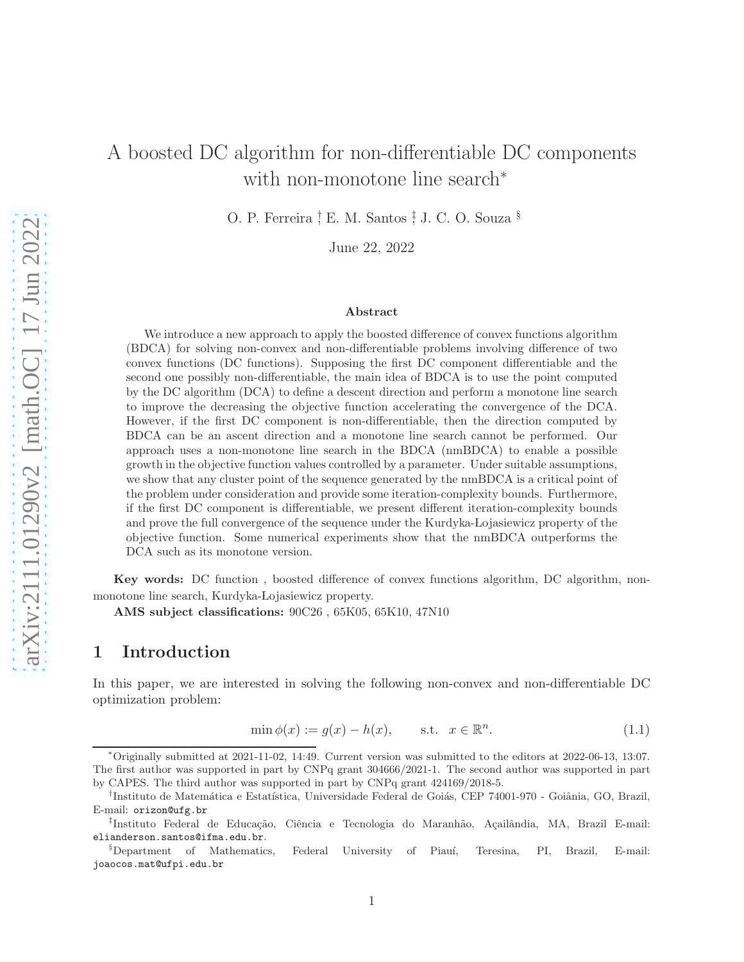# A boosted DC algorithm for non-differentiable DC components with non-monotone line search<sup>∗</sup>

O. P. Ferreira <sup>†</sup> E. M. Santos <sup>†</sup> J. C. O. Souza <sup>§</sup>

June 22, 2022

#### Abstract

We introduce a new approach to apply the boosted difference of convex functions algorithm (BDCA) for solving non-convex and non-differentiable problems involving difference of two convex functions (DC functions). Supposing the first DC component differentiable and the second one possibly non-differentiable, the main idea of BDCA is to use the point computed by the DC algorithm (DCA) to define a descent direction and perform a monotone line search to improve the decreasing the objective function accelerating the convergence of the DCA. However, if the first DC component is non-differentiable, then the direction computed by BDCA can be an ascent direction and a monotone line search cannot be performed. Our approach uses a non-monotone line search in the BDCA (nmBDCA) to enable a possible growth in the objective function values controlled by a parameter. Under suitable assumptions, we show that any cluster point of the sequence generated by the nmBDCA is a critical point of the problem under consideration and provide some iteration-complexity bounds. Furthermore, if the first DC component is differentiable, we present different iteration-complexity bounds and prove the full convergence of the sequence under the Kurdyka-Lojasiewicz property of the objective function. Some numerical experiments show that the nmBDCA outperforms the DCA such as its monotone version.

Key words: DC function , boosted difference of convex functions algorithm, DC algorithm, nonmonotone line search, Kurdyka-Lojasiewicz property.

AMS subject classifications: 90C26 , 65K05, 65K10, 47N10

# 1 Introduction

In this paper, we are interested in solving the following non-convex and non-differentiable DC optimization problem:

<span id="page-0-0"></span>
$$
\min \phi(x) := g(x) - h(x), \qquad \text{s.t.} \quad x \in \mathbb{R}^n. \tag{1.1}
$$

<sup>∗</sup>Originally submitted at 2021-11-02, 14:49. Current version was submitted to the editors at 2022-06-13, 13:07. The first author was supported in part by CNPq grant 304666/2021-1. The second author was supported in part by CAPES. The third author was supported in part by CNPq grant 424169/2018-5.

<sup>&</sup>lt;sup>†</sup>Instituto de Matemática e Estatística, Universidade Federal de Goiás, CEP 74001-970 - Goiânia, GO, Brazil, E-mail: orizon@ufg.br

<sup>‡</sup>Instituto Federal de Educação, Ciência e Tecnologia do Maranhão, Açailândia, MA, Brazil E-mail: elianderson.santos@ifma.edu.br.

<sup>&</sup>lt;sup>§</sup>Department of Mathematics, Federal University of Piauí, Teresina, PI, Brazil, E-mail: joaocos.mat@ufpi.edu.br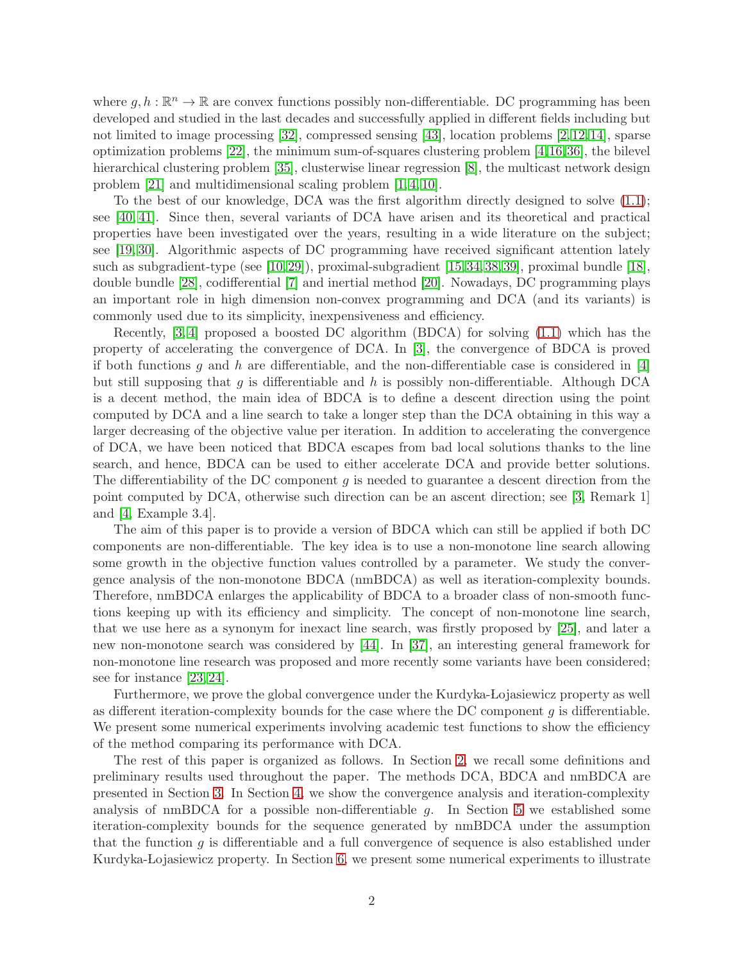where  $g, h : \mathbb{R}^n \to \mathbb{R}$  are convex functions possibly non-differentiable. DC programming has been developed and studied in the last decades and successfully applied in different fields including but not limited to image processing [\[32\]](#page-30-0), compressed sensing [\[43\]](#page-30-1), location problems [\[2,](#page-27-0) [12,](#page-28-0) [14\]](#page-28-1), sparse optimization problems [\[22\]](#page-29-0), the minimum sum-of-squares clustering problem [\[4,](#page-28-2)[16,](#page-29-1)[36\]](#page-30-2), the bilevel hierarchical clustering problem [\[35\]](#page-30-3), clusterwise linear regression [\[8\]](#page-28-3), the multicast network design problem [\[21\]](#page-29-2) and multidimensional scaling problem [\[1,](#page-27-1) [4,](#page-28-2) [10\]](#page-28-4).

To the best of our knowledge, DCA was the first algorithm directly designed to solve [\(1.1\)](#page-0-0); see [\[40,](#page-30-4) [41\]](#page-30-5). Since then, several variants of DCA have arisen and its theoretical and practical properties have been investigated over the years, resulting in a wide literature on the subject; see [\[19,](#page-29-3) [30\]](#page-30-6). Algorithmic aspects of DC programming have received significant attention lately such as subgradient-type (see [\[10,](#page-28-4) [29\]](#page-30-7)), proximal-subgradient [\[15,](#page-28-5) [34,](#page-30-8) [38,](#page-30-9) [39\]](#page-30-10), proximal bundle [\[18\]](#page-29-4), double bundle [\[28\]](#page-29-5), codifferential [\[7\]](#page-28-6) and inertial method [\[20\]](#page-29-6). Nowadays, DC programming plays an important role in high dimension non-convex programming and DCA (and its variants) is commonly used due to its simplicity, inexpensiveness and efficiency.

Recently, [\[3,](#page-28-7) [4\]](#page-28-2) proposed a boosted DC algorithm (BDCA) for solving [\(1.1\)](#page-0-0) which has the property of accelerating the convergence of DCA. In [\[3\]](#page-28-7), the convergence of BDCA is proved if both functions g and h are differentiable, and the non-differentiable case is considered in  $[4]$ but still supposing that g is differentiable and h is possibly non-differentiable. Although DCA is a decent method, the main idea of BDCA is to define a descent direction using the point computed by DCA and a line search to take a longer step than the DCA obtaining in this way a larger decreasing of the objective value per iteration. In addition to accelerating the convergence of DCA, we have been noticed that BDCA escapes from bad local solutions thanks to the line search, and hence, BDCA can be used to either accelerate DCA and provide better solutions. The differentiability of the DC component  $g$  is needed to guarantee a descent direction from the point computed by DCA, otherwise such direction can be an ascent direction; see [\[3,](#page-28-7) Remark 1] and [\[4,](#page-28-2) Example 3.4].

The aim of this paper is to provide a version of BDCA which can still be applied if both DC components are non-differentiable. The key idea is to use a non-monotone line search allowing some growth in the objective function values controlled by a parameter. We study the convergence analysis of the non-monotone BDCA (nmBDCA) as well as iteration-complexity bounds. Therefore, nmBDCA enlarges the applicability of BDCA to a broader class of non-smooth functions keeping up with its efficiency and simplicity. The concept of non-monotone line search, that we use here as a synonym for inexact line search, was firstly proposed by [\[25\]](#page-29-7), and later a new non-monotone search was considered by [\[44\]](#page-31-0). In [\[37\]](#page-30-11), an interesting general framework for non-monotone line research was proposed and more recently some variants have been considered; see for instance [\[23,](#page-29-8) [24\]](#page-29-9).

Furthermore, we prove the global convergence under the Kurdyka-Lojasiewicz property as well as different iteration-complexity bounds for the case where the DC component  $q$  is differentiable. We present some numerical experiments involving academic test functions to show the efficiency of the method comparing its performance with DCA.

The rest of this paper is organized as follows. In Section [2,](#page-2-0) we recall some definitions and preliminary results used throughout the paper. The methods DCA, BDCA and nmBDCA are presented in Section [3.](#page-3-0) In Section [4,](#page-8-0) we show the convergence analysis and iteration-complexity analysis of nmBDCA for a possible non-differentiable  $q$ . In Section [5](#page-12-0) we established some iteration-complexity bounds for the sequence generated by nmBDCA under the assumption that the function  $g$  is differentiable and a full convergence of sequence is also established under Kurdyka- Lojasiewicz property. In Section [6,](#page-18-0) we present some numerical experiments to illustrate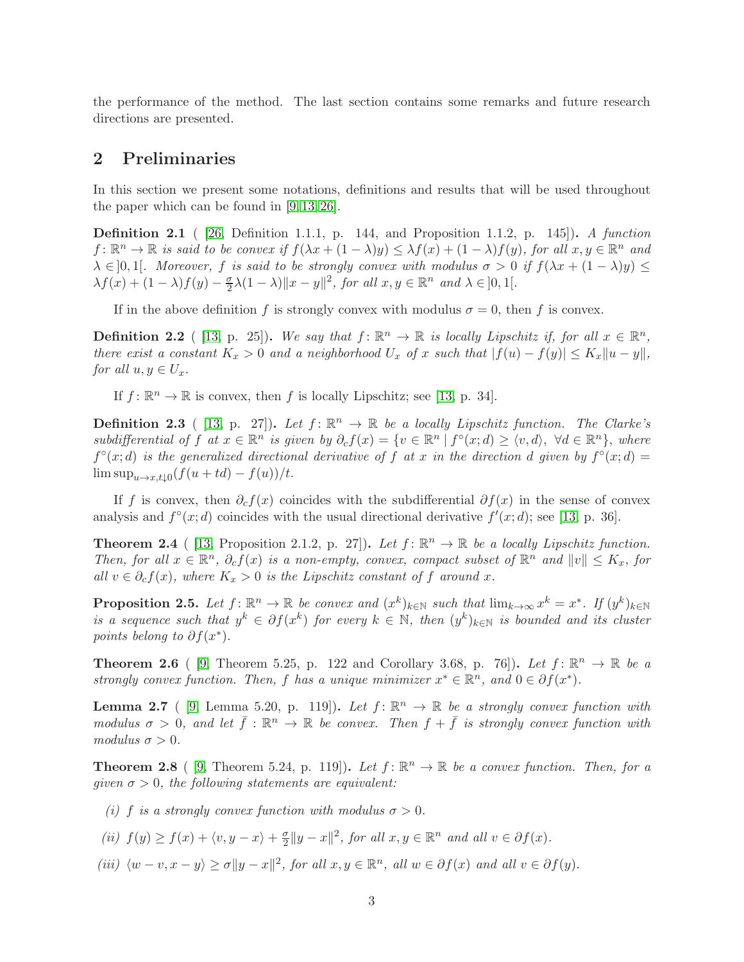the performance of the method. The last section contains some remarks and future research directions are presented.

# <span id="page-2-0"></span>2 Preliminaries

In this section we present some notations, definitions and results that will be used throughout the paper which can be found in [\[9,](#page-28-8) [13,](#page-28-9) [26\]](#page-29-10).

Definition 2.1 ( [\[26,](#page-29-10) Definition 1.1.1, p. 144, and Proposition 1.1.2, p. 145]). A function  $f: \mathbb{R}^n \to \mathbb{R}$  is said to be convex if  $f(\lambda x + (1 - \lambda)y) \leq \lambda f(x) + (1 - \lambda)f(y)$ , for all  $x, y \in \mathbb{R}^n$  and  $\lambda \in ]0,1[$ . Moreover, f is said to be strongly convex with modulus  $\sigma > 0$  if  $f(\lambda x + (1 - \lambda)y) \le$  $\lambda f(x) + (1 - \lambda)f(y) - \frac{\sigma}{2}$  $\frac{\sigma}{2}\lambda(1-\lambda)\|x-y\|^2$ , for all  $x, y \in \mathbb{R}^n$  and  $\lambda \in ]0,1[$ .

If in the above definition f is strongly convex with modulus  $\sigma = 0$ , then f is convex.

**Definition 2.2** ([13, p. 25]). We say that  $f: \mathbb{R}^n \to \mathbb{R}$  is locally Lipschitz if, for all  $x \in \mathbb{R}^n$ , there exist a constant  $K_x > 0$  and a neighborhood  $U_x$  of x such that  $|f(u) - f(y)| \le K_x ||u - y||$ , for all  $u, y \in U_x$ .

If  $f: \mathbb{R}^n \to \mathbb{R}$  is convex, then f is locally Lipschitz; see [\[13,](#page-28-9) p. 34].

**Definition 2.3** ( [\[13,](#page-28-9) p. 27]). Let  $f: \mathbb{R}^n \to \mathbb{R}$  be a locally Lipschitz function. The Clarke's subdifferential of f at  $x \in \mathbb{R}^n$  is given by  $\partial_c f(x) = \{v \in \mathbb{R}^n \mid f^{\circ}(x; d) \ge \langle v, d \rangle, \ \forall d \in \mathbb{R}^n \}$ , where  $f^{\circ}(x; d)$  is the generalized directional derivative of f at x in the direction d given by  $f^{\circ}(x; d) =$  $\limsup_{u\to x,t\downarrow 0}(f(u+td)-f(u))/t.$ 

If f is convex, then  $\partial_c f(x)$  coincides with the subdifferential  $\partial f(x)$  in the sense of convex analysis and  $f^{\circ}(x; d)$  coincides with the usual directional derivative  $f'(x; d)$ ; see [\[13,](#page-28-9) p. 36].

**Theorem 2.4** ( [\[13,](#page-28-9) Proposition 2.1.2, p. 27]). Let  $f: \mathbb{R}^n \to \mathbb{R}$  be a locally Lipschitz function. Then, for all  $x \in \mathbb{R}^n$ ,  $\partial_c f(x)$  is a non-empty, convex, compact subset of  $\mathbb{R}^n$  and  $||v|| \leq K_x$ , for all  $v \in \partial_c f(x)$ , where  $K_x > 0$  is the Lipschitz constant of f around x.

<span id="page-2-4"></span>**Proposition 2.5.** Let  $f: \mathbb{R}^n \to \mathbb{R}$  be convex and  $(x^k)_{k \in \mathbb{N}}$  such that  $\lim_{k \to \infty} x^k = x^*$ . If  $(y^k)_{k \in \mathbb{N}}$ is a sequence such that  $y^k \in \partial f(x^k)$  for every  $k \in \mathbb{N}$ , then  $(y^k)_{k \in \mathbb{N}}$  is bounded and its cluster points belong to  $\partial f(x^*)$ .

**Theorem 2.6** ( [\[9,](#page-28-8) Theorem 5.25, p. 122 and Corollary 3.68, p. 76]). Let  $f: \mathbb{R}^n \to \mathbb{R}$  be a strongly convex function. Then, f has a unique minimizer  $x^* \in \mathbb{R}^n$ , and  $0 \in \partial f(x^*)$ .

**Lemma 2.7** ( [\[9,](#page-28-8) Lemma 5.20, p. 119]). Let  $f: \mathbb{R}^n \to \mathbb{R}$  be a strongly convex function with modulus  $\sigma > 0$ , and let  $\bar{f} : \mathbb{R}^n \to \mathbb{R}$  be convex. Then  $f + \bar{f}$  is strongly convex function with modulus  $\sigma > 0$ .

<span id="page-2-1"></span>**Theorem 2.8** ( [\[9,](#page-28-8) Theorem 5.24, p. 119]). Let  $f: \mathbb{R}^n \to \mathbb{R}$  be a convex function. Then, for a given  $\sigma > 0$ , the following statements are equivalent:

<span id="page-2-2"></span>(i) f is a strongly convex function with modulus  $\sigma > 0$ .

<span id="page-2-3"></span>(ii) 
$$
f(y) \ge f(x) + \langle v, y - x \rangle + \frac{\sigma}{2} ||y - x||^2
$$
, for all  $x, y \in \mathbb{R}^n$  and all  $v \in \partial f(x)$ .

(iii)  $\langle w - v, x - y \rangle \ge \sigma ||y - x||^2$ , for all  $x, y \in \mathbb{R}^n$ , all  $w \in \partial f(x)$  and all  $v \in \partial f(y)$ .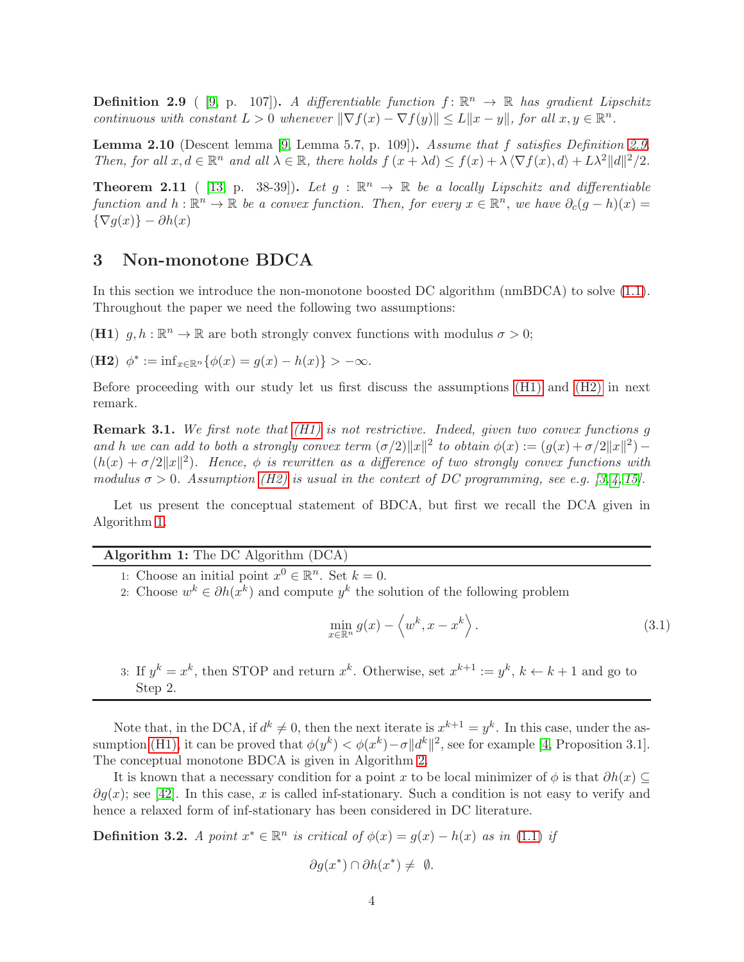<span id="page-3-1"></span>**Definition 2.9** ( [\[9,](#page-28-8) p. 107]). A differentiable function  $f: \mathbb{R}^n \to \mathbb{R}$  has gradient Lipschitz continuous with constant  $L > 0$  whenever  $\|\nabla f(x) - \nabla f(y)\| \le L \|x - y\|$ , for all  $x, y \in \mathbb{R}^n$ .

<span id="page-3-6"></span>Lemma 2.10 (Descent lemma [\[9,](#page-28-8) Lemma 5.7, p. 109]). Assume that f satisfies Definition [2.9.](#page-3-1) Then, for all  $x, d \in \mathbb{R}^n$  and all  $\lambda \in \mathbb{R}$ , there holds  $f(x + \lambda d) \le f(x) + \lambda \langle \nabla f(x), d \rangle + L\lambda^2 ||d||^2/2$ .

<span id="page-3-7"></span>**Theorem 2.11** ( [\[13,](#page-28-9) p. 38-39]). Let  $g : \mathbb{R}^n \to \mathbb{R}$  be a locally Lipschitz and differentiable function and  $h: \mathbb{R}^n \to \mathbb{R}$  be a convex function. Then, for every  $x \in \mathbb{R}^n$ , we have  $\partial_c(g-h)(x) =$  ${\nabla g(x) } - \partial h(x)$ 

## <span id="page-3-0"></span>3 Non-monotone BDCA

<span id="page-3-2"></span>In this section we introduce the non-monotone boosted DC algorithm (nmBDCA) to solve [\(1.1\)](#page-0-0). Throughout the paper we need the following two assumptions:

<span id="page-3-3"></span>(H1)  $g, h : \mathbb{R}^n \to \mathbb{R}$  are both strongly convex functions with modulus  $\sigma > 0$ ;

(**H2**)  $\phi^* := \inf_{x \in \mathbb{R}^n} {\{\phi(x) = g(x) - h(x)\}} > -\infty.$ 

Before proceeding with our study let us first discuss the assumptions [\(H1\)](#page-3-2) and [\(H2\)](#page-3-3) in next remark.

<span id="page-3-8"></span>**Remark 3.1.** We first note that  $(H1)$  is not restrictive. Indeed, given two convex functions g and h we can add to both a strongly convex term  $(\sigma/2) ||x||^2$  to obtain  $\phi(x) := (g(x) + \sigma/2||x||^2) (h(x) + \sigma/2||x||^2)$ . Hence,  $\phi$  is rewritten as a difference of two strongly convex functions with modulus  $\sigma > 0$ . Assumption [\(H2\)](#page-3-3) is usual in the context of DC programming, see e.g. [\[3,](#page-28-7) [4,](#page-28-2) [15\]](#page-28-5).

Let us present the conceptual statement of BDCA, but first we recall the DCA given in Algorithm [1.](#page-3-4)

# <span id="page-3-4"></span>Algorithm 1: The DC Algorithm (DCA)

- 1: Choose an initial point  $x^0 \in \mathbb{R}^n$ . Set  $k = 0$ .
- 2: Choose  $w^k \in \partial h(x^k)$  and compute  $y^k$  the solution of the following problem

<span id="page-3-5"></span>
$$
\min_{x \in \mathbb{R}^n} g(x) - \langle w^k, x - x^k \rangle.
$$
\n(3.1)

3: If  $y^k = x^k$ , then STOP and return  $x^k$ . Otherwise, set  $x^{k+1} := y^k$ ,  $k \leftarrow k+1$  and go to Step 2.

Note that, in the DCA, if  $d^k \neq 0$ , then the next iterate is  $x^{k+1} = y^k$ . In this case, under the as-sumption [\(H1\),](#page-3-2) it can be proved that  $\phi(y^k) < \phi(x^k) - \sigma ||d^k||^2$ , see for example [\[4,](#page-28-2) Proposition 3.1]. The conceptual monotone BDCA is given in Algorithm [2.](#page-4-0)

It is known that a necessary condition for a point x to be local minimizer of  $\phi$  is that  $\partial h(x) \subseteq$  $\partial g(x)$ ; see [\[42\]](#page-30-12). In this case, x is called inf-stationary. Such a condition is not easy to verify and hence a relaxed form of inf-stationary has been considered in DC literature.

**Definition 3.2.** A point  $x^* \in \mathbb{R}^n$  is critical of  $\phi(x) = g(x) - h(x)$  as in [\(1.1\)](#page-0-0) if

$$
\partial g(x^*) \cap \partial h(x^*) \neq \emptyset.
$$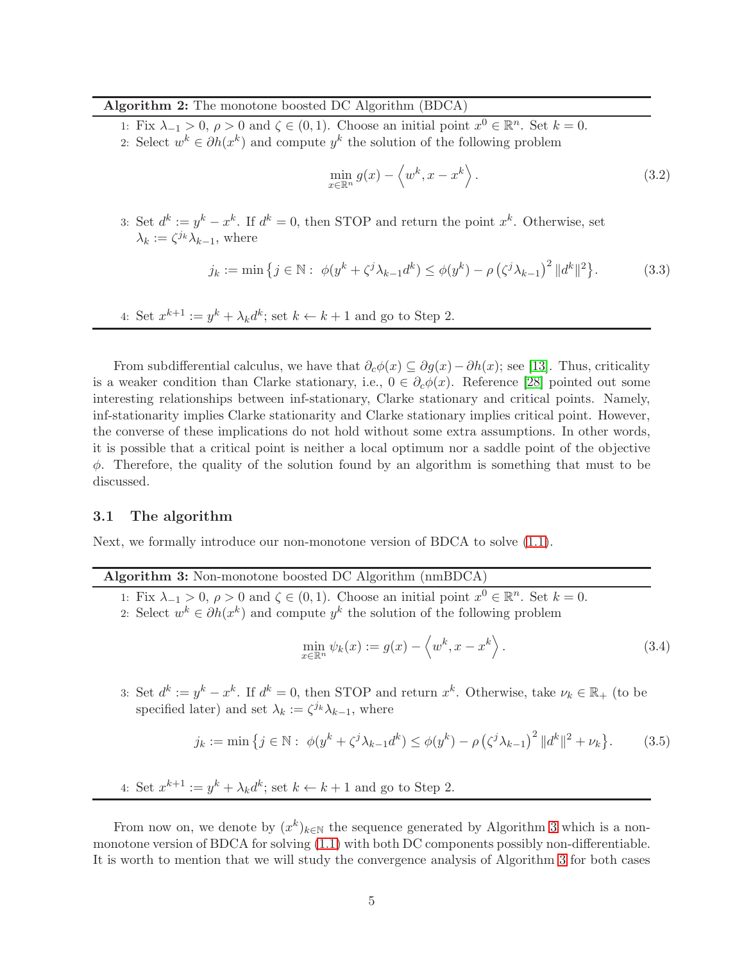### <span id="page-4-0"></span>Algorithm 2: The monotone boosted DC Algorithm (BDCA)

1: Fix  $\lambda_{-1} > 0$ ,  $\rho > 0$  and  $\zeta \in (0,1)$ . Choose an initial point  $x^0 \in \mathbb{R}^n$ . Set  $k = 0$ .

2: Select  $w^k \in \partial h(x^k)$  and compute  $y^k$  the solution of the following problem

<span id="page-4-5"></span>
$$
\min_{x \in \mathbb{R}^n} g(x) - \langle w^k, x - x^k \rangle. \tag{3.2}
$$

3: Set  $d^k := y^k - x^k$ . If  $d^k = 0$ , then STOP and return the point  $x^k$ . Otherwise, set  $\lambda_k := \zeta^{j_k} \lambda_{k-1}$ , where

<span id="page-4-3"></span>
$$
j_k := \min \left\{ j \in \mathbb{N} : \ \phi(y^k + \zeta^j \lambda_{k-1} d^k) \le \phi(y^k) - \rho \left(\zeta^j \lambda_{k-1}\right)^2 ||d^k||^2 \right\}.
$$
 (3.3)

4: Set  $x^{k+1} := y^k + \lambda_k d^k$ ; set  $k \leftarrow k+1$  and go to Step 2.

From subdifferential calculus, we have that  $\partial_c \phi(x) \subseteq \partial g(x) - \partial h(x)$ ; see [\[13\]](#page-28-9). Thus, criticality is a weaker condition than Clarke stationary, i.e.,  $0 \in \partial_c \phi(x)$ . Reference [\[28\]](#page-29-5) pointed out some interesting relationships between inf-stationary, Clarke stationary and critical points. Namely, inf-stationarity implies Clarke stationarity and Clarke stationary implies critical point. However, the converse of these implications do not hold without some extra assumptions. In other words, it is possible that a critical point is neither a local optimum nor a saddle point of the objective  $\phi$ . Therefore, the quality of the solution found by an algorithm is something that must to be discussed.

### 3.1 The algorithm

Next, we formally introduce our non-monotone version of BDCA to solve [\(1.1\)](#page-0-0).

### Algorithm 3: Non-monotone boosted DC Algorithm (nmBDCA)

<span id="page-4-1"></span>1: Fix  $\lambda_{-1} > 0$ ,  $\rho > 0$  and  $\zeta \in (0,1)$ . Choose an initial point  $x^0 \in \mathbb{R}^n$ . Set  $k = 0$ . 2: Select  $w^k \in \partial h(x^k)$  and compute  $y^k$  the solution of the following problem

<span id="page-4-4"></span><span id="page-4-2"></span>
$$
\min_{x \in \mathbb{R}^n} \psi_k(x) := g(x) - \left\langle w^k, x - x^k \right\rangle. \tag{3.4}
$$

3: Set  $d^k := y^k - x^k$ . If  $d^k = 0$ , then STOP and return  $x^k$ . Otherwise, take  $\nu_k \in \mathbb{R}_+$  (to be specified later) and set  $\lambda_k := \zeta^{j_k} \lambda_{k-1}$ , where

$$
j_k := \min \left\{ j \in \mathbb{N} : \ \phi(y^k + \zeta^j \lambda_{k-1} d^k) \le \phi(y^k) - \rho \left(\zeta^j \lambda_{k-1}\right)^2 \|d^k\|^2 + \nu_k \right\}.
$$
 (3.5)

4: Set  $x^{k+1} := y^k + \lambda_k d^k$ ; set  $k \leftarrow k+1$  and go to Step 2.

From now on, we denote by  $(x^k)_{k\in\mathbb{N}}$  the sequence generated by Algorithm [3](#page-4-1) which is a nonmonotone version of BDCA for solving [\(1.1\)](#page-0-0) with both DC components possibly non-differentiable. It is worth to mention that we will study the convergence analysis of Algorithm [3](#page-4-1) for both cases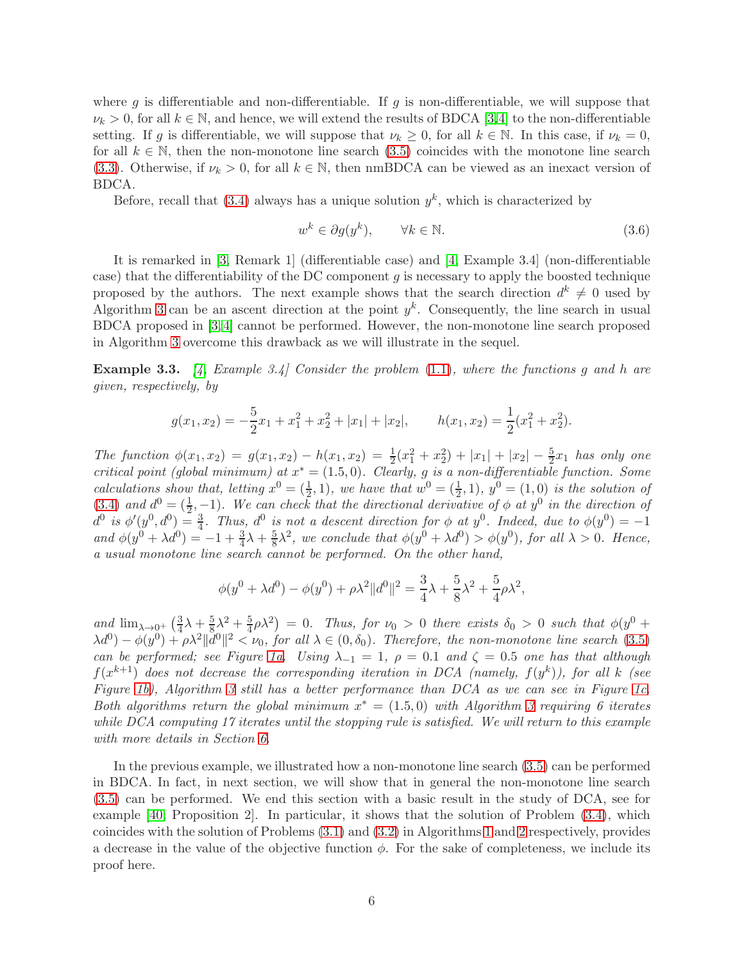where g is differentiable and non-differentiable. If g is non-differentiable, we will suppose that  $\nu_k > 0$ , for all  $k \in \mathbb{N}$ , and hence, we will extend the results of BDCA [\[3,](#page-28-7)[4\]](#page-28-2) to the non-differentiable setting. If g is differentiable, we will suppose that  $\nu_k \geq 0$ , for all  $k \in \mathbb{N}$ . In this case, if  $\nu_k = 0$ , for all  $k \in \mathbb{N}$ , then the non-monotone line search  $(3.5)$  coincides with the monotone line search [\(3.3\)](#page-4-3). Otherwise, if  $\nu_k > 0$ , for all  $k \in \mathbb{N}$ , then nmBDCA can be viewed as an inexact version of BDCA.

Before, recall that  $(3.4)$  always has a unique solution  $y<sup>k</sup>$ , which is characterized by

<span id="page-5-1"></span>
$$
w^k \in \partial g(y^k), \qquad \forall k \in \mathbb{N}.\tag{3.6}
$$

It is remarked in [\[3,](#page-28-7) Remark 1] (differentiable case) and [\[4,](#page-28-2) Example 3.4] (non-differentiable case) that the differentiability of the DC component  $g$  is necessary to apply the boosted technique proposed by the authors. The next example shows that the search direction  $d^k \neq 0$  used by Algorithm [3](#page-4-1) can be an ascent direction at the point  $y<sup>k</sup>$ . Consequently, the line search in usual BDCA proposed in [\[3,](#page-28-7) [4\]](#page-28-2) cannot be performed. However, the non-monotone line search proposed in Algorithm [3](#page-4-1) overcome this drawback as we will illustrate in the sequel.

<span id="page-5-0"></span>**Example 3.3.** [\[4,](#page-28-2) Example 3.4] Consider the problem  $(1.1)$ , where the functions q and h are given, respectively, by

$$
g(x_1, x_2) = -\frac{5}{2}x_1 + x_1^2 + x_2^2 + |x_1| + |x_2|, \qquad h(x_1, x_2) = \frac{1}{2}(x_1^2 + x_2^2).
$$

The function  $\phi(x_1, x_2) = g(x_1, x_2) - h(x_1, x_2) = \frac{1}{2}(x_1^2 + x_2^2) + |x_1| + |x_2| - \frac{5}{2}x_1$  has only one critical point (global minimum) at  $x^* = (1.5, 0)$ . Clearly, g is a non-differentiable function. Some calculations show that, letting  $x^0 = (\frac{1}{2}, 1)$ , we have that  $w^0 = (\frac{1}{2}, 1)$ ,  $y^0 = (1, 0)$  is the solution of [\(3.4\)](#page-4-4) and  $d^0 = (\frac{1}{2}, -1)$ . We can check that the directional derivative of  $\phi$  at  $y^0$  in the direction of  $d^0$  is  $\phi'(y^0, d^0) = \frac{3}{4}$ . Thus,  $d^0$  is not a descent direction for  $\phi$  at  $y^0$ . Indeed, due to  $\phi(y^0) = -1$ and  $\phi(y^0 + \lambda d^0) = -1 + \frac{3}{4}\lambda + \frac{5}{8}\lambda^2$ , we conclude that  $\phi(y^0 + \lambda d^0) > \phi(y^0)$ , for all  $\lambda > 0$ . Hence, a usual monotone line search cannot be performed. On the other hand,

$$
\phi(y^{0} + \lambda d^{0}) - \phi(y^{0}) + \rho \lambda^{2} ||d^{0}||^{2} = \frac{3}{4}\lambda + \frac{5}{8}\lambda^{2} + \frac{5}{4}\rho \lambda^{2},
$$

and  $\lim_{\lambda\to 0^+} \left(\frac{3}{4}\right)$  $\frac{3}{4}\lambda + \frac{5}{8}\lambda^2 + \frac{5}{4}\rho\lambda^2$  = 0. Thus, for  $\nu_0 > 0$  there exists  $\delta_0 > 0$  such that  $\phi(y^0 +$  $\lambda d^0$ ) –  $\phi(y^0) + \rho \lambda^2 ||d^0||^2 < \nu_0$ , for all  $\lambda \in (0, \delta_0)$ . Therefore, the non-monotone line search [\(3.5\)](#page-4-2) can be performed; see Figure [1a.](#page-6-0) Using  $\lambda_{-1} = 1$ ,  $\rho = 0.1$  and  $\zeta = 0.5$  one has that although  $f(x^{k+1})$  does not decrease the corresponding iteration in DCA (namely,  $f(y^k)$ ), for all k (see Figure [1b\)](#page-6-1), Algorithm [3](#page-4-1) still has a better performance than DCA as we can see in Figure [1c.](#page-6-2) Both algorithms return the global minimum  $x^* = (1.5, 0)$  with Algorithm [3](#page-4-1) requiring 6 iterates while DCA computing 17 iterates until the stopping rule is satisfied. We will return to this example with more details in Section [6.](#page-18-0)

In the previous example, we illustrated how a non-monotone line search [\(3.5\)](#page-4-2) can be performed in BDCA. In fact, in next section, we will show that in general the non-monotone line search [\(3.5\)](#page-4-2) can be performed. We end this section with a basic result in the study of DCA, see for example [\[40,](#page-30-4) Proposition 2]. In particular, it shows that the solution of Problem [\(3.4\)](#page-4-4), which coincides with the solution of Problems [\(3.1\)](#page-3-5) and [\(3.2\)](#page-4-5) in Algorithms [1](#page-3-4) and [2](#page-4-0) respectively, provides a decrease in the value of the objective function  $\phi$ . For the sake of completeness, we include its proof here.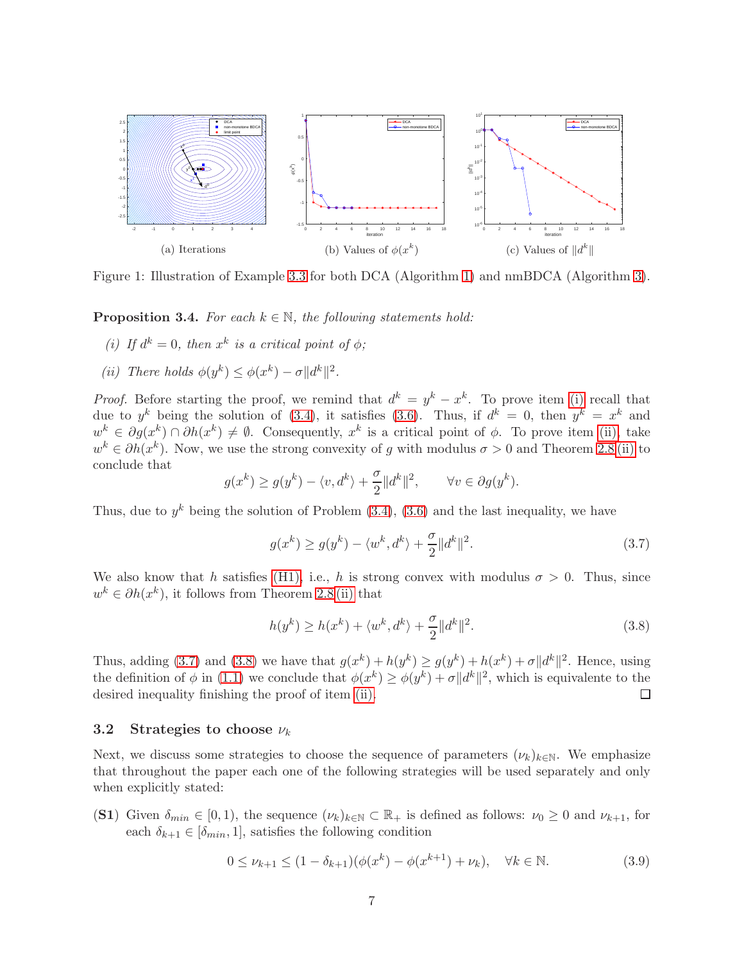<span id="page-6-0"></span>

<span id="page-6-1"></span>Figure 1: Illustration of Example [3.3](#page-5-0) for both DCA (Algorithm [1\)](#page-3-4) and nmBDCA (Algorithm [3\)](#page-4-1).

<span id="page-6-9"></span><span id="page-6-3"></span>**Proposition 3.4.** For each  $k \in \mathbb{N}$ , the following statements hold:

- <span id="page-6-4"></span>(i) If  $d^k = 0$ , then  $x^k$  is a critical point of  $\phi$ ;
- (*ii*) There holds  $\phi(y^k) \leq \phi(x^k) \sigma ||d^k||^2$ .

*Proof.* Before starting the proof, we remind that  $d^k = y^k - x^k$ . To prove item [\(i\)](#page-6-3) recall that due to  $y^k$  being the solution of [\(3.4\)](#page-4-4), it satisfies [\(3.6\)](#page-5-1). Thus, if  $d^k = 0$ , then  $y^k = x^k$  and  $w^k \in \partial g(x^k) \cap \partial h(x^k) \neq \emptyset$ . Consequently,  $x^k$  is a critical point of  $\phi$ . To prove item [\(ii\),](#page-6-4) take  $w^k \in \partial h(x^k)$ . Now, we use the strong convexity of g with modulus  $\sigma > 0$  and Theorem [2.8](#page-2-1) [\(ii\)](#page-2-2) to conclude that

<span id="page-6-2"></span>
$$
g(x^k) \ge g(y^k) - \langle v, d^k \rangle + \frac{\sigma}{2} ||d^k||^2, \qquad \forall v \in \partial g(y^k).
$$

Thus, due to  $y^k$  being the solution of Problem  $(3.4)$ ,  $(3.6)$  and the last inequality, we have

<span id="page-6-5"></span>
$$
g(x^k) \ge g(y^k) - \langle w^k, d^k \rangle + \frac{\sigma}{2} \| d^k \|^2.
$$
\n(3.7)

We also know that h satisfies [\(H1\),](#page-3-2) i.e., h is strong convex with modulus  $\sigma > 0$ . Thus, since  $w^k \in \partial h(x^k)$ , it follows from Theorem [2.8](#page-2-1) [\(ii\)](#page-2-2) that

<span id="page-6-6"></span>
$$
h(y^k) \ge h(x^k) + \langle w^k, d^k \rangle + \frac{\sigma}{2} \| d^k \|^2.
$$
\n(3.8)

Thus, adding [\(3.7\)](#page-6-5) and [\(3.8\)](#page-6-6) we have that  $g(x^k) + h(y^k) \ge g(y^k) + h(x^k) + \sigma ||d^k||^2$ . Hence, using the definition of  $\phi$  in [\(1.1\)](#page-0-0) we conclude that  $\phi(x^k) \ge \phi(y^k) + \sigma ||d^k||^2$ , which is equivalente to the desired inequality finishing the proof of item [\(ii\).](#page-6-4)  $\Box$ 

### 3.2 Strategies to choose  $\nu_k$

Next, we discuss some strategies to choose the sequence of parameters  $(\nu_k)_{k\in\mathbb{N}}$ . We emphasize that throughout the paper each one of the following strategies will be used separately and only when explicitly stated:

<span id="page-6-8"></span>(S1) Given  $\delta_{min} \in [0,1)$ , the sequence  $(\nu_k)_{k \in \mathbb{N}} \subset \mathbb{R}_+$  is defined as follows:  $\nu_0 \geq 0$  and  $\nu_{k+1}$ , for each  $\delta_{k+1} \in [\delta_{min}, 1]$ , satisfies the following condition

<span id="page-6-7"></span>
$$
0 \le \nu_{k+1} \le (1 - \delta_{k+1})(\phi(x^k) - \phi(x^{k+1}) + \nu_k), \quad \forall k \in \mathbb{N}.
$$
 (3.9)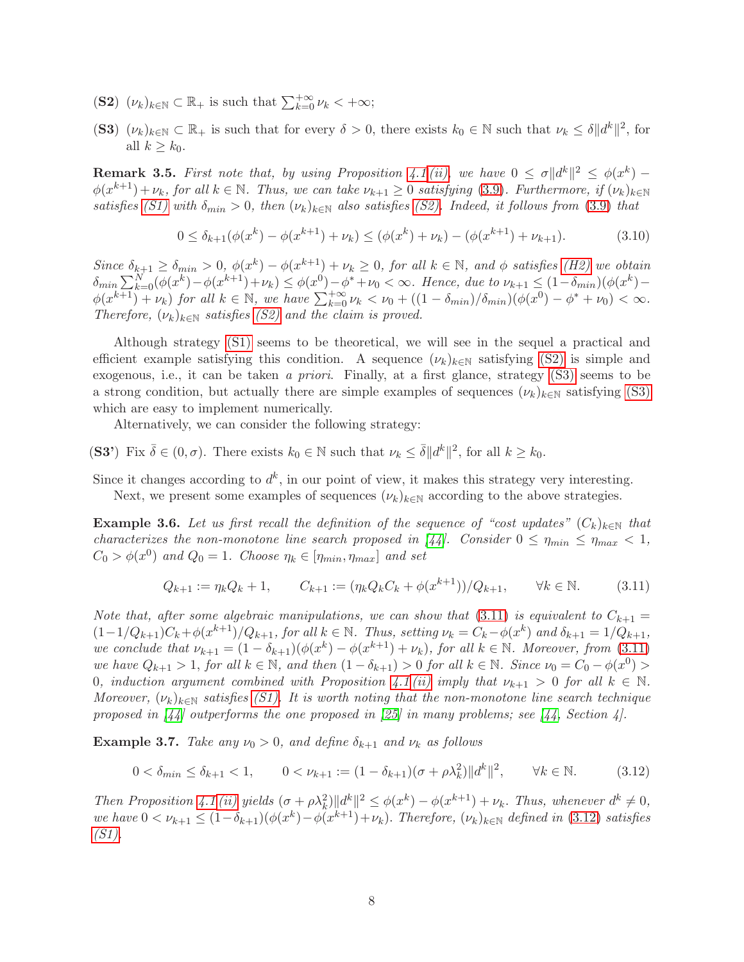- <span id="page-7-1"></span><span id="page-7-0"></span>(S2)  $(\nu_k)_{k \in \mathbb{N}} \subset \mathbb{R}_+$  is such that  $\sum_{k=0}^{+\infty} \nu_k < +\infty$ ;
- (S3)  $(\nu_k)_{k \in \mathbb{N}} \subset \mathbb{R}_+$  is such that for every  $\delta > 0$ , there exists  $k_0 \in \mathbb{N}$  such that  $\nu_k \leq \delta ||d^k||^2$ , for all  $k \geq k_0$ .

<span id="page-7-5"></span>**Remark 3.5.** First note that, by using Proposition [4.1](#page-8-1) [\(ii\),](#page-8-2) we have  $0 \le \sigma ||d^k||^2 \le \phi(x^k) \phi(x^{k+1}) + \nu_k$ , for all  $k \in \mathbb{N}$ . Thus, we can take  $\nu_{k+1} \geq 0$  satisfying [\(3.9\)](#page-6-7). Furthermore, if  $(\nu_k)_{k \in \mathbb{N}}$ satisfies [\(S1\)](#page-6-8) with  $\delta_{min} > 0$ , then  $(\nu_k)_{k \in \mathbb{N}}$  also satisfies [\(S2\).](#page-7-0) Indeed, it follows from [\(3.9\)](#page-6-7) that

<span id="page-7-4"></span>
$$
0 \le \delta_{k+1}(\phi(x^k) - \phi(x^{k+1}) + \nu_k) \le (\phi(x^k) + \nu_k) - (\phi(x^{k+1}) + \nu_{k+1}).
$$
\n(3.10)

Since  $\delta_{k+1} \geq \delta_{min} > 0$ ,  $\phi(x^k) - \phi(x^{k+1}) + \nu_k \geq 0$ , for all  $k \in \mathbb{N}$ , and  $\phi$  satisfies [\(H2\)](#page-3-3) we obtain  $\delta_{min} \sum_{k=0}^{N} (\phi(x^k) - \phi(x^{k+1}) + \nu_k) \leq \phi(x^0) - \phi^* + \nu_0 < \infty$ . Hence, due to  $\nu_{k+1} \leq (1 - \delta_{min})(\phi(x^k) - \nu_k)$  $\phi(x^{k+1}) + \nu_k$ ) for all  $k \in \mathbb{N}$ , we have  $\sum_{k=0}^{+\infty} \nu_k < \nu_0 + ((1 - \delta_{min})/\delta_{min})(\phi(x^0) - \phi^* + \nu_0) < \infty$ . Therefore,  $(\nu_k)_{k \in \mathbb{N}}$  satisfies [\(S2\)](#page-7-0) and the claim is proved.

Although strategy [\(S1\)](#page-6-8) seems to be theoretical, we will see in the sequel a practical and efficient example satisfying this condition. A sequence  $(\nu_k)_{k\in\mathbb{N}}$  satisfying [\(S2\)](#page-7-0) is simple and exogenous, i.e., it can be taken a priori. Finally, at a first glance, strategy [\(S3\)](#page-7-1) seems to be a strong condition, but actually there are simple examples of sequences  $(\nu_k)_{k\in\mathbb{N}}$  satisfying [\(S3\)](#page-7-1) which are easy to implement numerically.

<span id="page-7-6"></span>Alternatively, we can consider the following strategy:

(S3') Fix  $\bar{\delta} \in (0, \sigma)$ . There exists  $k_0 \in \mathbb{N}$  such that  $\nu_k \leq \bar{\delta} ||d^k||^2$ , for all  $k \geq k_0$ .

Since it changes according to  $d^k$ , in our point of view, it makes this strategy very interesting. Next, we present some examples of sequences  $(\nu_k)_{k\in\mathbb{N}}$  according to the above strategies.

**Example 3.6.** Let us first recall the definition of the sequence of "cost updates"  $(C_k)_{k\in\mathbb{N}}$  that characterizes the non-monotone line search proposed in [\[44\]](#page-31-0). Consider  $0 \le \eta_{min} \le \eta_{max} < 1$ ,  $C_0 > \phi(x^0)$  and  $Q_0 = 1$ . Choose  $\eta_k \in [\eta_{min}, \eta_{max}]$  and set

<span id="page-7-2"></span>
$$
Q_{k+1} := \eta_k Q_k + 1, \qquad C_{k+1} := (\eta_k Q_k C_k + \phi(x^{k+1})) / Q_{k+1}, \qquad \forall k \in \mathbb{N}.
$$
 (3.11)

Note that, after some algebraic manipulations, we can show that [\(3.11\)](#page-7-2) is equivalent to  $C_{k+1} =$  $(1-1/Q_{k+1})C_k+\phi(x^{k+1})/Q_{k+1}$ , for all  $k \in \mathbb{N}$ . Thus, setting  $\nu_k = C_k-\phi(x^k)$  and  $\delta_{k+1} = 1/Q_{k+1}$ , we conclude that  $\nu_{k+1} = (1 - \delta_{k+1})(\phi(x^k) - \phi(x^{k+1}) + \nu_k)$ , for all  $k \in \mathbb{N}$ . Moreover, from [\(3.11\)](#page-7-2) we have  $Q_{k+1} > 1$ , for all  $k \in \mathbb{N}$ , and then  $(1 - \delta_{k+1}) > 0$  for all  $k \in \mathbb{N}$ . Since  $\nu_0 = C_0 - \phi(x^0) >$ 0, induction argument combined with Proposition [4.1](#page-8-1) [\(ii\)](#page-8-2) imply that  $\nu_{k+1} > 0$  for all  $k \in \mathbb{N}$ . Moreover,  $(\nu_k)_{k\in\mathbb{N}}$  satisfies [\(S1\).](#page-6-8) It is worth noting that the non-monotone line search technique proposed in  $\left[44\right]$  outperforms the one proposed in  $\left[25\right]$  in many problems; see  $\left[44,$  Section 4.

**Example 3.7.** Take any  $\nu_0 > 0$ , and define  $\delta_{k+1}$  and  $\nu_k$  as follows

<span id="page-7-3"></span>
$$
0 < \delta_{\min} \le \delta_{k+1} < 1, \qquad 0 < \nu_{k+1} := (1 - \delta_{k+1})(\sigma + \rho \lambda_k^2) \|d^k\|^2, \qquad \forall k \in \mathbb{N}. \tag{3.12}
$$

Then Proposition [4.1](#page-8-1) [\(ii\)](#page-8-2) yields  $(\sigma + \rho \lambda_k^2) ||d^k||^2 \leq \phi(x^k) - \phi(x^{k+1}) + \nu_k$ . Thus, whenever  $d^k \neq 0$ , we have  $0 < \nu_{k+1} \leq (1 - \delta_{k+1})(\phi(x^k) - \phi(x^{k+1}) + \nu_k)$ . Therefore,  $(\nu_k)_{k \in \mathbb{N}}$  defined in [\(3.12\)](#page-7-3) satisfies [\(S1\).](#page-6-8)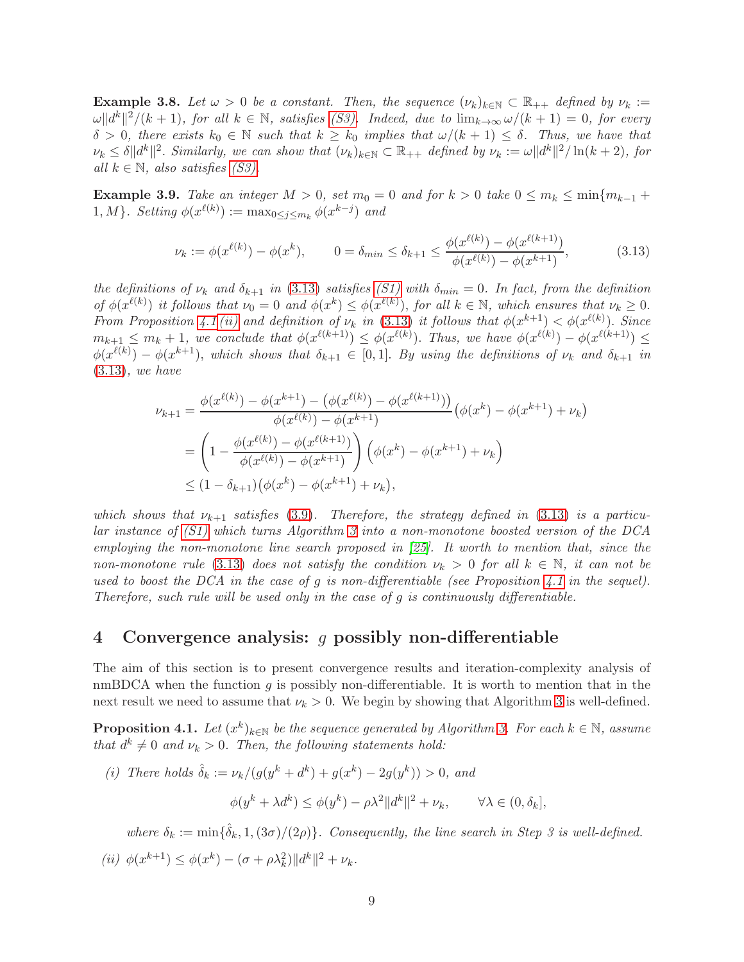<span id="page-8-5"></span>**Example 3.8.** Let  $\omega > 0$  be a constant. Then, the sequence  $(\nu_k)_{k \in \mathbb{N}} \subset \mathbb{R}_{++}$  defined by  $\nu_k :=$  $\omega \|d^k\|^2/(k+1)$ , for all  $k \in \mathbb{N}$ , satisfies [\(S3\).](#page-7-1) Indeed, due to  $\lim_{k\to\infty} \omega/(k+1) = 0$ , for every  $\delta > 0$ , there exists  $k_0 \in \mathbb{N}$  such that  $k \geq k_0$  implies that  $\omega/(k+1) \leq \delta$ . Thus, we have that  $\nu_k \leq \delta \|d^k\|^2$ . Similarly, we can show that  $(\nu_k)_{k \in \mathbb{N}} \subset \mathbb{R}_{++}$  defined by  $\nu_k := \omega \|d^k\|^2 / \ln(k+2)$ , for all  $k \in \mathbb{N}$ , also satisfies [\(S3\).](#page-7-1)

Example 3.9. Take an integer  $M > 0$ , set  $m_0 = 0$  and for  $k > 0$  take  $0 \le m_k \le \min\{m_{k-1} +$  $1, M$ }. Setting  $\phi(x^{\ell(k)}) := \max_{0 \leq j \leq m_k} \phi(x^{k-j})$  and

<span id="page-8-3"></span>
$$
\nu_k := \phi(x^{\ell(k)}) - \phi(x^k), \qquad 0 = \delta_{min} \le \delta_{k+1} \le \frac{\phi(x^{\ell(k)}) - \phi(x^{\ell(k+1)})}{\phi(x^{\ell(k)}) - \phi(x^{k+1})},\tag{3.13}
$$

the definitions of  $\nu_k$  and  $\delta_{k+1}$  in [\(3.13\)](#page-8-3) satisfies [\(S1\)](#page-6-8) with  $\delta_{min} = 0$ . In fact, from the definition of  $\phi(x^{\ell(k)})$  it follows that  $\nu_0 = 0$  and  $\phi(x^k) \leq \phi(x^{\ell(k)})$ , for all  $k \in \mathbb{N}$ , which ensures that  $\nu_k \geq 0$ . From Proposition [4.1](#page-8-1) [\(ii\)](#page-8-2) and definition of  $\nu_k$  in [\(3.13\)](#page-8-3) it follows that  $\phi(x^{k+1}) < \phi(x^{\ell(k)})$ . Since  $m_{k+1} \leq m_k + 1$ , we conclude that  $\phi(x^{\ell(k+1)}) \leq \phi(x^{\ell(k)})$ . Thus, we have  $\phi(x^{\ell(k)}) - \phi(x^{\ell(k+1)}) \leq$  $\phi(x^{\ell(k)}) - \phi(x^{k+1})$ , which shows that  $\delta_{k+1} \in [0,1]$ . By using the definitions of  $\nu_k$  and  $\delta_{k+1}$  in [\(3.13\)](#page-8-3), we have

$$
\nu_{k+1} = \frac{\phi(x^{\ell(k)}) - \phi(x^{k+1}) - (\phi(x^{\ell(k)}) - \phi(x^{\ell(k+1)}))}{\phi(x^{\ell(k)}) - \phi(x^{k+1})} (\phi(x^k) - \phi(x^{k+1}) + \nu_k)
$$
  
= 
$$
\left(1 - \frac{\phi(x^{\ell(k)}) - \phi(x^{\ell(k+1)})}{\phi(x^{\ell(k)}) - \phi(x^{k+1})}\right) (\phi(x^k) - \phi(x^{k+1}) + \nu_k)
$$
  

$$
\leq (1 - \delta_{k+1}) (\phi(x^k) - \phi(x^{k+1}) + \nu_k),
$$

which shows that  $\nu_{k+1}$  satisfies [\(3.9\)](#page-6-7). Therefore, the strategy defined in [\(3.13\)](#page-8-3) is a particular instance of [\(S1\)](#page-6-8) which turns Algorithm [3](#page-4-1) into a non-monotone boosted version of the DCA employing the non-monotone line search proposed in [\[25\]](#page-29-7). It worth to mention that, since the non-monotone rule [\(3.13\)](#page-8-3) does not satisfy the condition  $\nu_k > 0$  for all  $k \in \mathbb{N}$ , it can not be used to boost the DCA in the case of g is non-differentiable (see Proposition [4.1](#page-8-1) in the sequel). Therefore, such rule will be used only in the case of  $g$  is continuously differentiable.

### <span id="page-8-0"></span>4 Convergence analysis: g possibly non-differentiable

The aim of this section is to present convergence results and iteration-complexity analysis of nmBDCA when the function  $q$  is possibly non-differentiable. It is worth to mention that in the next result we need to assume that  $\nu_k > 0$ . We begin by showing that Algorithm [3](#page-4-1) is well-defined.

<span id="page-8-1"></span>**Proposition 4.1.** Let  $(x^k)_{k\in\mathbb{N}}$  be the sequence generated by Algorithm [3.](#page-4-1) For each  $k \in \mathbb{N}$ , assume that  $d^k \neq 0$  and  $\nu_k > 0$ . Then, the following statements hold:

<span id="page-8-4"></span>(i) There holds  $\hat{\delta}_k := \nu_k / (g(y^k + d^k) + g(x^k) - 2g(y^k)) > 0$ , and

$$
\phi(y^k + \lambda d^k) \le \phi(y^k) - \rho \lambda^2 \|d^k\|^2 + \nu_k, \qquad \forall \lambda \in (0, \delta_k],
$$

where  $\delta_k := \min\{\hat{\delta}_k, 1, (3\sigma)/(2\rho)\}\$ . Consequently, the line search in Step 3 is well-defined.

<span id="page-8-2"></span>(*ii*)  $\phi(x^{k+1}) \leq \phi(x^k) - (\sigma + \rho \lambda_k^2) ||d^k||^2 + \nu_k.$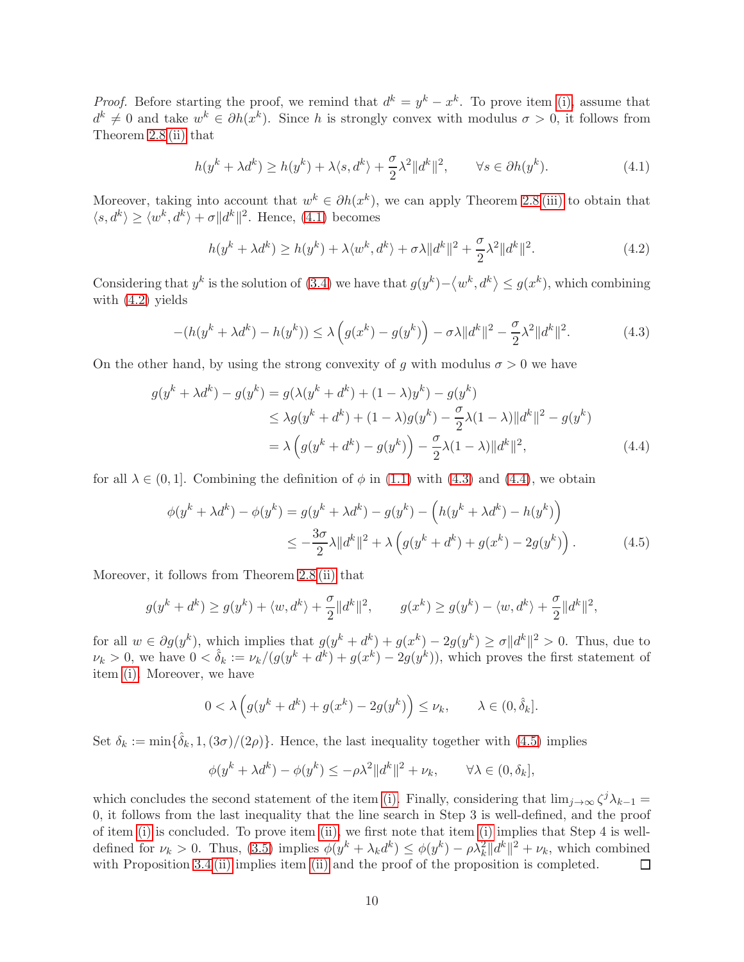*Proof.* Before starting the proof, we remind that  $d^k = y^k - x^k$ . To prove item [\(i\),](#page-8-4) assume that  $d^k \neq 0$  and take  $w^k \in \partial h(x^k)$ . Since h is strongly convex with modulus  $\sigma > 0$ , it follows from Theorem [2.8](#page-2-1) [\(ii\)](#page-2-2) that

<span id="page-9-0"></span>
$$
h(y^k + \lambda d^k) \ge h(y^k) + \lambda \langle s, d^k \rangle + \frac{\sigma}{2} \lambda^2 \| d^k \|^2, \qquad \forall s \in \partial h(y^k). \tag{4.1}
$$

Moreover, taking into account that  $w^k \in \partial h(x^k)$ , we can apply Theorem [2.8](#page-2-1) [\(iii\)](#page-2-3) to obtain that  $\langle s, d^k \rangle \ge \langle w^k, d^k \rangle + \sigma ||d^k||^2$ . Hence, [\(4.1\)](#page-9-0) becomes

<span id="page-9-1"></span>
$$
h(y^k + \lambda d^k) \ge h(y^k) + \lambda \langle w^k, d^k \rangle + \sigma \lambda \| d^k \|^2 + \frac{\sigma}{2} \lambda^2 \| d^k \|^2. \tag{4.2}
$$

Considering that  $y^k$  is the solution of [\(3.4\)](#page-4-4) we have that  $g(y^k) - \langle w^k, d^k \rangle \le g(x^k)$ , which combining with [\(4.2\)](#page-9-1) yields

<span id="page-9-2"></span>
$$
-(h(y^k + \lambda d^k) - h(y^k)) \le \lambda \left( g(x^k) - g(y^k) \right) - \sigma \lambda \| d^k \|^2 - \frac{\sigma}{2} \lambda^2 \| d^k \|^2. \tag{4.3}
$$

On the other hand, by using the strong convexity of q with modulus  $\sigma > 0$  we have

$$
g(y^{k} + \lambda d^{k}) - g(y^{k}) = g(\lambda(y^{k} + d^{k}) + (1 - \lambda)y^{k}) - g(y^{k})
$$
  
\n
$$
\leq \lambda g(y^{k} + d^{k}) + (1 - \lambda)g(y^{k}) - \frac{\sigma}{2}\lambda(1 - \lambda)||d^{k}||^{2} - g(y^{k})
$$
  
\n
$$
= \lambda \left( g(y^{k} + d^{k}) - g(y^{k}) \right) - \frac{\sigma}{2}\lambda(1 - \lambda)||d^{k}||^{2}, \qquad (4.4)
$$

for all  $\lambda \in (0,1]$ . Combining the definition of  $\phi$  in [\(1.1\)](#page-0-0) with [\(4.3\)](#page-9-2) and [\(4.4\)](#page-9-3), we obtain

<span id="page-9-3"></span>
$$
\phi(y^{k} + \lambda d^{k}) - \phi(y^{k}) = g(y^{k} + \lambda d^{k}) - g(y^{k}) - (h(y^{k} + \lambda d^{k}) - h(y^{k}))
$$
  

$$
\leq -\frac{3\sigma}{2}\lambda \|d^{k}\|^{2} + \lambda \left(g(y^{k} + d^{k}) + g(x^{k}) - 2g(y^{k})\right).
$$
 (4.5)

Moreover, it follows from Theorem [2.8](#page-2-1) [\(ii\)](#page-2-2) that

$$
g(y^k + d^k) \ge g(y^k) + \langle w, d^k \rangle + \frac{\sigma}{2} ||d^k||^2, \qquad g(x^k) \ge g(y^k) - \langle w, d^k \rangle + \frac{\sigma}{2} ||d^k||^2,
$$

for all  $w \in \partial g(y^k)$ , which implies that  $g(y^k + d^k) + g(x^k) - 2g(y^k) \ge \sigma ||d^k||^2 > 0$ . Thus, due to  $\nu_k > 0$ , we have  $0 < \hat{\delta}_k := \nu_k/(g(y^k + d^k) + g(x^k) - 2g(y^k))$ , which proves the first statement of item [\(i\).](#page-8-4) Moreover, we have

<span id="page-9-4"></span>
$$
0 < \lambda \left( g(y^k + d^k) + g(x^k) - 2g(y^k) \right) \le \nu_k, \qquad \lambda \in (0, \hat{\delta}_k].
$$

Set  $\delta_k := \min\{\hat{\delta}_k, 1, (3\sigma)/(2\rho)\}\.$  Hence, the last inequality together with [\(4.5\)](#page-9-4) implies

$$
\phi(y^k + \lambda d^k) - \phi(y^k) \le -\rho \lambda^2 \|d^k\|^2 + \nu_k, \qquad \forall \lambda \in (0, \delta_k],
$$

which concludes the second statement of the item [\(i\).](#page-8-4) Finally, considering that  $\lim_{j\to\infty} \zeta^j \lambda_{k-1} =$ 0, it follows from the last inequality that the line search in Step 3 is well-defined, and the proof of item [\(i\)](#page-8-4) is concluded. To prove item [\(ii\),](#page-8-2) we first note that item [\(i\)](#page-8-4) implies that Step 4 is welldefined for  $\nu_k > 0$ . Thus, [\(3.5\)](#page-4-2) implies  $\phi(y^k + \lambda_k d^k) \leq \phi(y^k) - \rho \lambda_k^2 ||d^k||^2 + \nu_k$ , which combined with Proposition [3.4](#page-6-9) [\(ii\)](#page-8-2) implies item (ii) and the proof of the proposition is completed.  $\Box$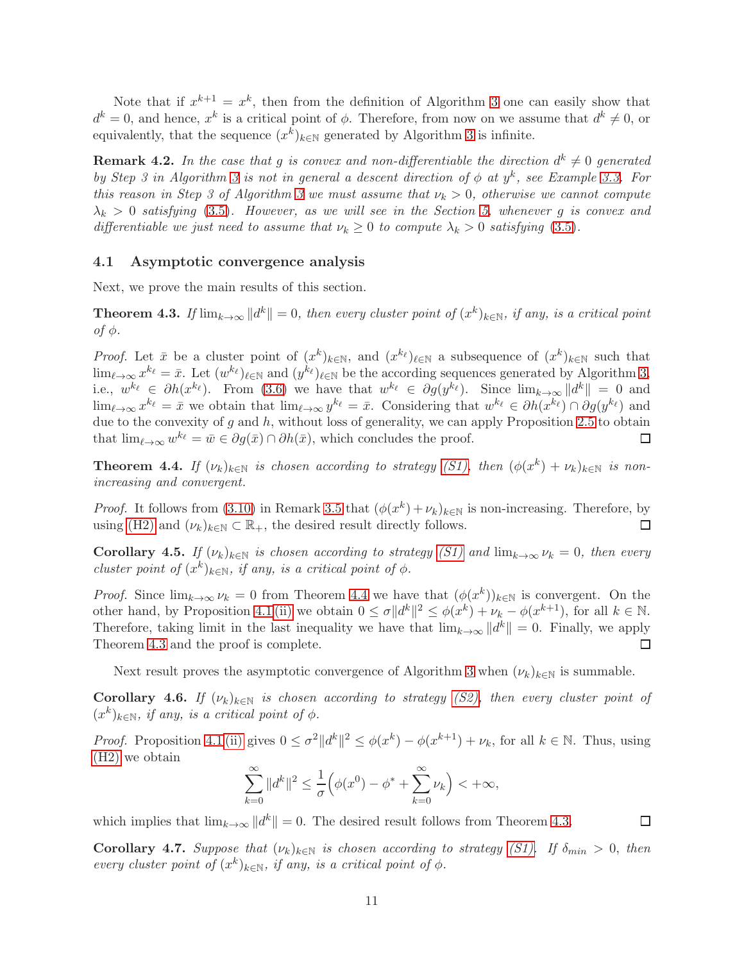Note that if  $x^{k+1} = x^k$ , then from the definition of Algorithm [3](#page-4-1) one can easily show that  $d^k = 0$ , and hence,  $x^k$  is a critical point of  $\phi$ . Therefore, from now on we assume that  $d^k \neq 0$ , or equivalently, that the sequence  $(x^k)_{k \in \mathbb{N}}$  generated by Algorithm [3](#page-4-1) is infinite.

**Remark 4.2.** In the case that g is convex and non-differentiable the direction  $d^k \neq 0$  generated by Step [3](#page-4-1) in Algorithm 3 is not in general a descent direction of  $\phi$  at  $y^k$ , see Example [3.3.](#page-5-0) For this reason in Step [3](#page-4-1) of Algorithm 3 we must assume that  $\nu_k > 0$ , otherwise we cannot compute  $\lambda_k > 0$  satisfying [\(3.5\)](#page-4-2). However, as we will see in the Section [5,](#page-12-0) whenever g is convex and differentiable we just need to assume that  $\nu_k \geq 0$  to compute  $\lambda_k > 0$  satisfying [\(3.5\)](#page-4-2).

#### 4.1 Asymptotic convergence analysis

Next, we prove the main results of this section.

<span id="page-10-1"></span>**Theorem 4.3.** If  $\lim_{k\to\infty} ||d^k|| = 0$ , then every cluster point of  $(x^k)_{k\in\mathbb{N}}$ , if any, is a critical point of φ.

*Proof.* Let  $\bar{x}$  be a cluster point of  $(x^k)_{k\in\mathbb{N}}$ , and  $(x^{k_\ell})_{\ell\in\mathbb{N}}$  a subsequence of  $(x^k)_{k\in\mathbb{N}}$  such that  $\lim_{\ell \to \infty} x^{k_{\ell}} = \bar{x}$ . Let  $(w^{k_{\ell}})_{\ell \in \mathbb{N}}$  and  $(y^{k_{\ell}})_{\ell \in \mathbb{N}}$  be the according sequences generated by Algorithm [3,](#page-4-1) i.e.,  $w^{k_{\ell}} \in \partial h(x^{k_{\ell}})$ . From [\(3.6\)](#page-5-1) we have that  $w^{k_{\ell}} \in \partial g(y^{k_{\ell}})$ . Since  $\lim_{k \to \infty} ||d^k|| = 0$  and  $\lim_{\ell \to \infty} x^{k_{\ell}} = \bar{x}$  we obtain that  $\lim_{\ell \to \infty} y^{k_{\ell}} = \bar{x}$ . Considering that  $w^{k_{\ell}} \in \partial h(x^{k_{\ell}}) \cap \partial g(y^{k_{\ell}})$  and due to the convexity of  $g$  and  $h$ , without loss of generality, we can apply Proposition [2.5](#page-2-4) to obtain that  $\lim_{\ell \to \infty} w^{k_{\ell}} = \bar{w} \in \partial g(\bar{x}) \cap \partial h(\bar{x}),$  which concludes the proof.  $\Box$ 

<span id="page-10-0"></span>**Theorem 4.4.** If  $(\nu_k)_{k\in\mathbb{N}}$  is chosen according to strategy [\(S1\),](#page-6-8) then  $(\phi(x^k) + \nu_k)_{k\in\mathbb{N}}$  is nonincreasing and convergent.

*Proof.* It follows from [\(3.10\)](#page-7-4) in Remark [3.5](#page-7-5) that  $(\phi(x^k) + \nu_k)_{k \in \mathbb{N}}$  is non-increasing. Therefore, by using [\(H2\)](#page-3-3) and  $(\nu_k)_{k \in \mathbb{N}} \subset \mathbb{R}_+$ , the desired result directly follows. □

**Corollary 4.5.** If  $(\nu_k)_{k\in\mathbb{N}}$  is chosen according to strategy [\(S1\)](#page-6-8) and  $\lim_{k\to\infty} \nu_k = 0$ , then every cluster point of  $(x^k)_{k\in\mathbb{N}}$ , if any, is a critical point of  $\phi$ .

*Proof.* Since  $\lim_{k\to\infty} \nu_k = 0$  from Theorem [4.4](#page-10-0) we have that  $(\phi(x^k))_{k\in\mathbb{N}}$  is convergent. On the other hand, by Proposition [4.1](#page-8-1) [\(ii\)](#page-8-2) we obtain  $0 \leq \sigma ||d^k||^2 \leq \phi(x^k) + \nu_k - \phi(x^{k+1})$ , for all  $k \in \mathbb{N}$ . Therefore, taking limit in the last inequality we have that  $\lim_{k\to\infty} ||d^k|| = 0$ . Finally, we apply Theorem [4.3](#page-10-1) and the proof is complete.

Next result proves the asymptotic convergence of Algorithm [3](#page-4-1) when  $(\nu_k)_{k\in\mathbb{N}}$  is summable.

<span id="page-10-2"></span>**Corollary 4.6.** If  $(\nu_k)_{k\in\mathbb{N}}$  is chosen according to strategy [\(S2\),](#page-7-0) then every cluster point of  $(x^k)_{k \in \mathbb{N}}$ , if any, is a critical point of  $\phi$ .

*Proof.* Proposition [4.1](#page-8-1) [\(ii\)](#page-8-2) gives  $0 \le \sigma^2 ||d^k||^2 \le \phi(x^k) - \phi(x^{k+1}) + \nu_k$ , for all  $k \in \mathbb{N}$ . Thus, using [\(H2\)](#page-3-3) we obtain

$$
\sum_{k=0}^{\infty} \|d^k\|^2 \le \frac{1}{\sigma} \Big( \phi(x^0) - \phi^* + \sum_{k=0}^{\infty} \nu_k \Big) < +\infty,
$$

 $\Box$ 

which implies that  $\lim_{k\to\infty} ||d^k|| = 0$ . The desired result follows from Theorem [4.3.](#page-10-1)

**Corollary 4.7.** Suppose that  $(\nu_k)_{k \in \mathbb{N}}$  is chosen according to strategy [\(S1\).](#page-6-8) If  $\delta_{min} > 0$ , then every cluster point of  $(x^k)_{k \in \mathbb{N}}$ , if any, is a critical point of  $\phi$ .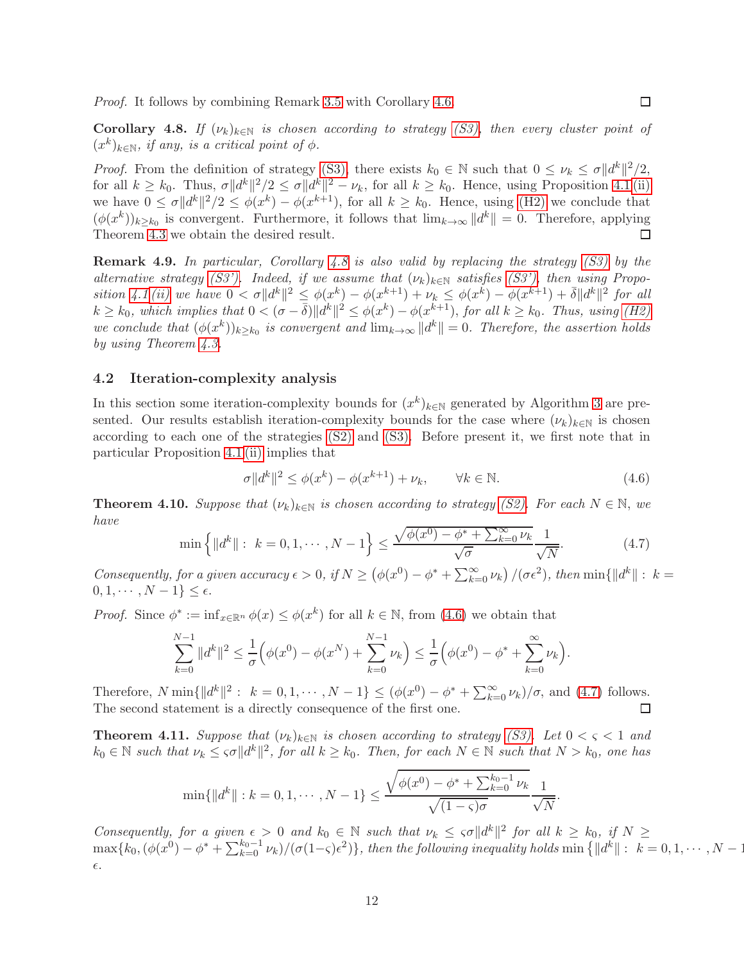Proof. It follows by combining Remark [3.5](#page-7-5) with Corollary [4.6.](#page-10-2)

<span id="page-11-0"></span>**Corollary 4.8.** If  $(\nu_k)_{k \in \mathbb{N}}$  is chosen according to strategy [\(S3\),](#page-7-1) then every cluster point of  $(x^k)_{k \in \mathbb{N}}$ , if any, is a critical point of  $\phi$ .

*Proof.* From the definition of strategy [\(S3\),](#page-7-1) there exists  $k_0 \in \mathbb{N}$  such that  $0 \leq \nu_k \leq \sigma ||d^k||^2/2$ , for all  $k \geq k_0$ . Thus,  $\sigma ||d^k||^2/2 \leq \sigma ||d^k||^2 - \nu_k$ , for all  $k \geq k_0$ . Hence, using Proposition [4.1](#page-8-1) [\(ii\)](#page-8-2) we have  $0 \le \sigma \|d^k\|^2/2 \le \phi(x^k) - \phi(x^{k+1})$ , for all  $k \ge k_0$ . Hence, using [\(H2\)](#page-3-3) we conclude that  $(\phi(x^k))_{k\geq k_0}$  is convergent. Furthermore, it follows that  $\lim_{k\to\infty} ||d^k|| = 0$ . Therefore, applying Theorem [4.3](#page-10-1) we obtain the desired result.

Remark 4.9. In particular, Corollary [4.8](#page-11-0) is also valid by replacing the strategy [\(S3\)](#page-7-1) by the alternative strategy [\(S3'\).](#page-7-6) Indeed, if we assume that  $(\nu_k)_{k\in\mathbb{N}}$  satisfies [\(S3'\),](#page-7-6) then using Propo-sition [4.1](#page-8-1) [\(ii\)](#page-8-2) we have  $0 < \sigma \|d^k\|^2 \leq \phi(x^k) - \phi(x^{k+1}) + \nu_k \leq \phi(x^k) - \phi(x^{k+1}) + \overline{\delta} \|d^k\|^2$  for all  $k \geq k_0$ , which implies that  $0 < (\sigma - \bar{\delta}) ||d^k||^2 \leq \phi(x^k) - \phi(x^{k+1})$ , for all  $k \geq k_0$ . Thus, using [\(H2\)](#page-3-3) we conclude that  $(\phi(x^k))_{k\geq k_0}$  is convergent and  $\lim_{k\to\infty} ||d^k|| = 0$ . Therefore, the assertion holds by using Theorem [4.3.](#page-10-1)

#### 4.2 Iteration-complexity analysis

In this section some iteration-complexity bounds for  $(x^k)_{k\in\mathbb{N}}$  generated by Algorithm [3](#page-4-1) are presented. Our results establish iteration-complexity bounds for the case where  $(\nu_k)_{k\in\mathbb{N}}$  is chosen according to each one of the strategies [\(S2\)](#page-7-0) and [\(S3\).](#page-7-1) Before present it, we first note that in particular Proposition [4.1](#page-8-1) [\(ii\)](#page-8-2) implies that

<span id="page-11-1"></span>
$$
\sigma \|d^k\|^2 \le \phi(x^k) - \phi(x^{k+1}) + \nu_k, \qquad \forall k \in \mathbb{N}.
$$
\n(4.6)

<span id="page-11-2"></span>**Theorem 4.10.** Suppose that  $(\nu_k)_{k \in \mathbb{N}}$  is chosen according to strategy [\(S2\).](#page-7-0) For each  $N \in \mathbb{N}$ , we have

$$
\min\left\{ \|d^k\| : k = 0, 1, \cdots, N - 1 \right\} \le \frac{\sqrt{\phi(x^0) - \phi^* + \sum_{k=0}^{\infty} \nu_k}}{\sqrt{\sigma}} \frac{1}{\sqrt{N}}.
$$
\n(4.7)

Consequently, for a given accuracy  $\epsilon > 0$ , if  $N \ge (\phi(x^0) - \phi^* + \sum_{k=0}^{\infty} \nu_k) / (\sigma \epsilon^2)$ , then  $\min\{||d^k|| : k =$  $0, 1, \cdots, N-1\} \leq \epsilon.$ 

*Proof.* Since  $\phi^* := \inf_{x \in \mathbb{R}^n} \phi(x) \leq \phi(x^k)$  for all  $k \in \mathbb{N}$ , from [\(4.6\)](#page-11-1) we obtain that

$$
\sum_{k=0}^{N-1} \|d^k\|^2 \le \frac{1}{\sigma} \Big( \phi(x^0) - \phi(x^N) + \sum_{k=0}^{N-1} \nu_k \Big) \le \frac{1}{\sigma} \Big( \phi(x^0) - \phi^* + \sum_{k=0}^{\infty} \nu_k \Big).
$$

Therefore,  $N \min\{\|d^k\|^2: k = 0, 1, \cdots, N-1\} \leq (\phi(x^0) - \phi^* + \sum_{k=0}^{\infty} \nu_k)/\sigma$ , and [\(4.7\)](#page-11-2) follows. The second statement is a directly consequence of the first one.

<span id="page-11-3"></span>**Theorem 4.11.** Suppose that  $(\nu_k)_{k\in\mathbb{N}}$  is chosen according to strategy [\(S3\).](#page-7-1) Let  $0 < \varsigma < 1$  and  $k_0 \in \mathbb{N}$  such that  $\nu_k \leq \varsigma \sigma ||d^k||^2$ , for all  $k \geq k_0$ . Then, for each  $N \in \mathbb{N}$  such that  $N > k_0$ , one has

$$
\min\{\|d^k\|: k=0,1,\cdots,N-1\} \le \frac{\sqrt{\phi(x^0)-\phi^*+\sum_{k=0}^{k_0-1}\nu_k}}{\sqrt{(1-\varsigma)\sigma}}\frac{1}{\sqrt{N}}.
$$

Consequently, for a given  $\epsilon > 0$  and  $k_0 \in \mathbb{N}$  such that  $\nu_k \leq \epsilon \sigma ||d^k||^2$  for all  $k \geq k_0$ , if  $N \geq$  $\max\{k_0,(\phi(x^0)-\phi^*+\sum_{k=0}^{k_0-1}\nu_k)/(\sigma(1-\varsigma)\epsilon^2)\},$  then the following inequality holds  $\min\left\{\|d^k\|:~k=0,1,\cdots,N-1\right\}$  $\epsilon$ .

 $\Box$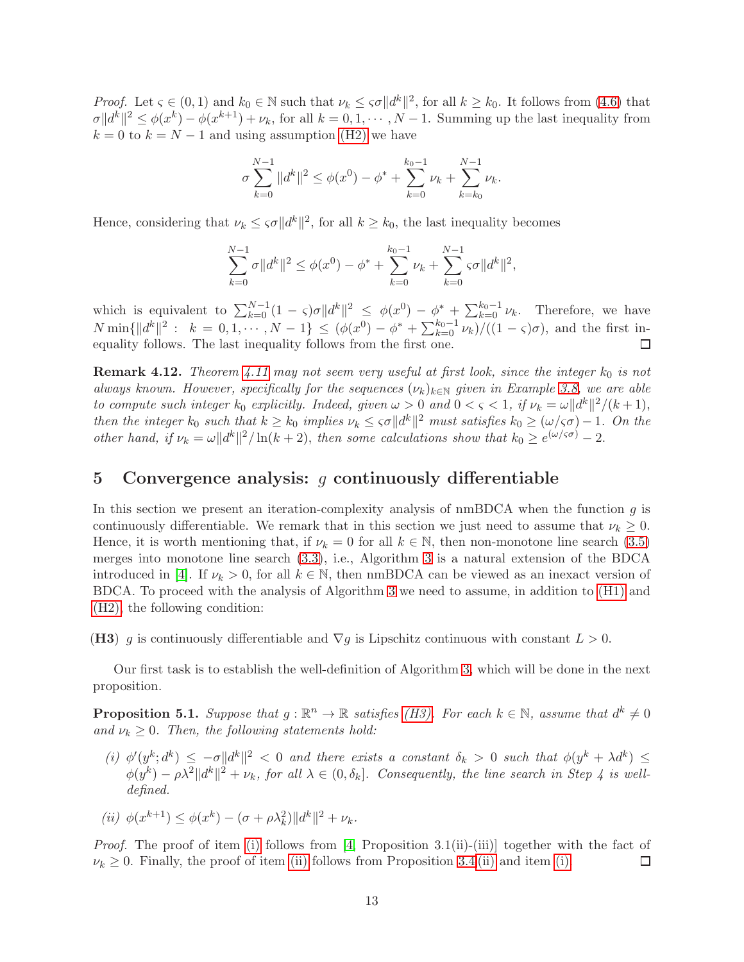Proof. Let  $\varsigma \in (0,1)$  and  $k_0 \in \mathbb{N}$  such that  $\nu_k \leq \varsigma \sigma ||d^k||^2$ , for all  $k \geq k_0$ . It follows from [\(4.6\)](#page-11-1) that  $\sigma ||d^k||^2 \leq \phi(x^k) - \phi(x^{k+1}) + \nu_k$ , for all  $k = 0, 1, \dots, N-1$ . Summing up the last inequality from  $k = 0$  to  $k = N - 1$  and using assumption [\(H2\)](#page-3-3) we have

$$
\sigma \sum_{k=0}^{N-1} \|d^k\|^2 \le \phi(x^0) - \phi^* + \sum_{k=0}^{k_0-1} \nu_k + \sum_{k=k_0}^{N-1} \nu_k.
$$

Hence, considering that  $\nu_k \leq \varsigma \sigma ||d^k||^2$ , for all  $k \geq k_0$ , the last inequality becomes

$$
\sum_{k=0}^{N-1} \sigma ||d^k||^2 \le \phi(x^0) - \phi^* + \sum_{k=0}^{k_0-1} \nu_k + \sum_{k=0}^{N-1} \varsigma \sigma ||d^k||^2,
$$

which is equivalent to  $\sum_{k=0}^{N-1} (1-\varsigma) \sigma ||d^k||^2 \leq \phi(x^0) - \phi^* + \sum_{k=0}^{k_0-1} \nu_k$ . Therefore, we have  $N \min\{||d^k||^2 : k = 0, 1, \cdots, N-1\} \leq (\phi(x^0) - \phi^* + \sum_{k=0}^{k_0-1} \nu_k)/((1-\varsigma)\sigma)$ , and the first inequality follows. The last inequality follows from the first one. П

<span id="page-12-5"></span>**Remark 4.12.** Theorem [4.11](#page-11-3) may not seem very useful at first look, since the integer  $k_0$  is not always known. However, specifically for the sequences  $(\nu_k)_{k\in\mathbb{N}}$  given in Example [3.8,](#page-8-5) we are able to compute such integer  $k_0$  explicitly. Indeed, given  $\omega > 0$  and  $0 < \zeta < 1$ , if  $\nu_k = \omega ||d^k||^2/(k+1)$ , then the integer  $k_0$  such that  $k \geq k_0$  implies  $\nu_k \leq \infty ||d^k||^2$  must satisfies  $k_0 \geq (\omega/\varsigma \sigma) - 1$ . On the other hand, if  $\nu_k = \omega ||d^k||^2 / \ln(k+2)$ , then some calculations show that  $k_0 \geq e^{(\omega/\varsigma \sigma)} - 2$ .

### <span id="page-12-0"></span>5 Convergence analysis:  $q$  continuously differentiable

In this section we present an iteration-complexity analysis of  $\mu$ BDCA when the function g is continuously differentiable. We remark that in this section we just need to assume that  $\nu_k \geq 0$ . Hence, it is worth mentioning that, if  $\nu_k = 0$  for all  $k \in \mathbb{N}$ , then non-monotone line search [\(3.5\)](#page-4-2) merges into monotone line search [\(3.3\)](#page-4-3), i.e., Algorithm [3](#page-4-1) is a natural extension of the BDCA introduced in [\[4\]](#page-28-2). If  $\nu_k > 0$ , for all  $k \in \mathbb{N}$ , then nmBDCA can be viewed as an inexact version of BDCA. To proceed with the analysis of Algorithm [3](#page-4-1) we need to assume, in addition to [\(H1\)](#page-3-2) and [\(H2\),](#page-3-3) the following condition:

<span id="page-12-1"></span>(H3) g is continuously differentiable and  $\nabla g$  is Lipschitz continuous with constant  $L > 0$ .

Our first task is to establish the well-definition of Algorithm [3,](#page-4-1) which will be done in the next proposition.

<span id="page-12-4"></span>**Proposition 5.1.** Suppose that  $g : \mathbb{R}^n \to \mathbb{R}$  satisfies [\(H3\).](#page-12-1) For each  $k \in \mathbb{N}$ , assume that  $d^k \neq 0$ and  $\nu_k \geq 0$ . Then, the following statements hold:

- <span id="page-12-2"></span>(i)  $\phi'(y^k; d^k) \leq -\sigma ||d^k||^2 < 0$  and there exists a constant  $\delta_k > 0$  such that  $\phi(y^k + \lambda d^k) \leq$  $\phi(y^k) - \rho \lambda^2 ||d^k||^2 + \nu_k$ , for all  $\lambda \in (0, \delta_k]$ . Consequently, the line search in Step 4 is welldefined.
- <span id="page-12-3"></span>(*ii*)  $\phi(x^{k+1}) \leq \phi(x^k) - (\sigma + \rho \lambda_k^2) ||d^k||^2 + \nu_k.$

*Proof.* The proof of item [\(i\)](#page-12-2) follows from [\[4,](#page-28-2) Proposition 3.1(ii)-(iii)] together with the fact of  $\nu_k \geq 0$ . Finally, the proof of item [\(ii\)](#page-6-4) follows from Proposition [3.4](#page-6-9) (ii) and item [\(i\).](#page-12-2)  $\Box$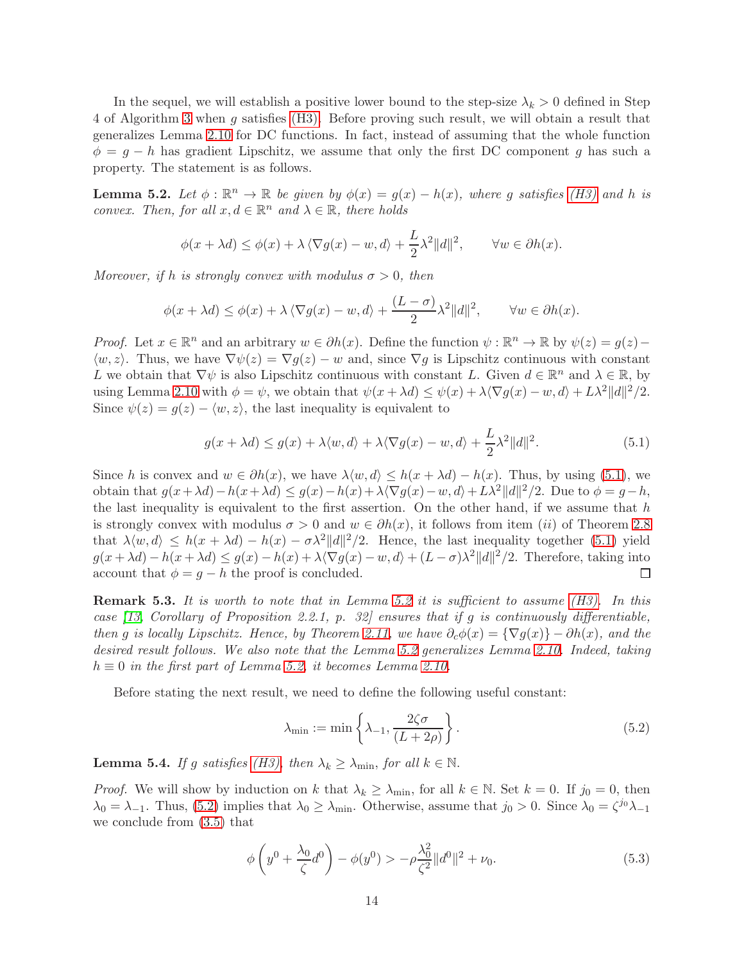In the sequel, we will establish a positive lower bound to the step-size  $\lambda_k > 0$  defined in Step 4 of Algorithm [3](#page-4-1) when g satisfies [\(H3\).](#page-12-1) Before proving such result, we will obtain a result that generalizes Lemma [2.10](#page-3-6) for DC functions. In fact, instead of assuming that the whole function  $\phi = g - h$  has gradient Lipschitz, we assume that only the first DC component g has such a property. The statement is as follows.

<span id="page-13-1"></span>**Lemma 5.2.** Let  $\phi : \mathbb{R}^n \to \mathbb{R}$  be given by  $\phi(x) = g(x) - h(x)$ , where g satisfies [\(H3\)](#page-12-1) and h is convex. Then, for all  $x, d \in \mathbb{R}^n$  and  $\lambda \in \mathbb{R}$ , there holds

$$
\phi(x + \lambda d) \le \phi(x) + \lambda \langle \nabla g(x) - w, d \rangle + \frac{L}{2} \lambda^2 ||d||^2, \qquad \forall w \in \partial h(x).
$$

Moreover, if h is strongly convex with modulus  $\sigma > 0$ , then

$$
\phi(x + \lambda d) \le \phi(x) + \lambda \langle \nabla g(x) - w, d \rangle + \frac{(L - \sigma)}{2} \lambda^2 ||d||^2, \qquad \forall w \in \partial h(x).
$$

*Proof.* Let  $x \in \mathbb{R}^n$  and an arbitrary  $w \in \partial h(x)$ . Define the function  $\psi : \mathbb{R}^n \to \mathbb{R}$  by  $\psi(z) = g(z) \langle w, z \rangle$ . Thus, we have  $\nabla \psi(z) = \nabla g(z) - w$  and, since  $\nabla g$  is Lipschitz continuous with constant L we obtain that  $\nabla \psi$  is also Lipschitz continuous with constant L. Given  $d \in \mathbb{R}^n$  and  $\lambda \in \mathbb{R}$ , by using Lemma [2.10](#page-3-6) with  $\phi = \psi$ , we obtain that  $\psi(x + \lambda d) \leq \psi(x) + \lambda \langle \nabla g(x) - w, d \rangle + L\lambda^2 ||d||^2 / 2$ . Since  $\psi(z) = g(z) - \langle w, z \rangle$ , the last inequality is equivalent to

<span id="page-13-0"></span>
$$
g(x + \lambda d) \le g(x) + \lambda \langle w, d \rangle + \lambda \langle \nabla g(x) - w, d \rangle + \frac{L}{2} \lambda^2 ||d||^2.
$$
 (5.1)

Since h is convex and  $w \in \partial h(x)$ , we have  $\lambda \langle w, d \rangle \leq h(x + \lambda d) - h(x)$ . Thus, by using [\(5.1\)](#page-13-0), we obtain that  $g(x + \lambda d) - h(x + \lambda d) \le g(x) - h(x) + \lambda \langle \nabla g(x) - w, d \rangle + L\lambda^2 ||d||^2 / 2$ . Due to  $\phi = g - h$ , the last inequality is equivalent to the first assertion. On the other hand, if we assume that  $h$ is strongly convex with modulus  $\sigma > 0$  and  $w \in \partial h(x)$ , it follows from item (ii) of Theorem [2.8](#page-2-1) that  $\lambda \langle w, d \rangle \le h(x + \lambda d) - h(x) - \sigma \lambda^2 ||d||^2/2$ . Hence, the last inequality together [\(5.1\)](#page-13-0) yield  $g(x + \lambda d) - h(x + \lambda d) \le g(x) - h(x) + \lambda \langle \nabla g(x) - w, d \rangle + (L - \sigma) \lambda^2 ||d||^2 / 2$ . Therefore, taking into account that  $\phi = g - h$  the proof is concluded. □

Remark 5.3. It is worth to note that in Lemma [5.2](#page-13-1) it is sufficient to assume [\(H3\).](#page-12-1) In this case [\[13,](#page-28-9) Corollary of Proposition 2.2.1, p. 32] ensures that if g is continuously differentiable, then g is locally Lipschitz. Hence, by Theorem [2.11,](#page-3-7) we have  $\partial_c \phi(x) = {\nabla g(x) \} - \partial h(x)$ , and the desired result follows. We also note that the Lemma [5.2](#page-13-1) generalizes Lemma [2.10.](#page-3-6) Indeed, taking  $h \equiv 0$  in the first part of Lemma [5.2,](#page-13-1) it becomes Lemma [2.10.](#page-3-6)

Before stating the next result, we need to define the following useful constant:

<span id="page-13-2"></span>
$$
\lambda_{\min} := \min \left\{ \lambda_{-1}, \frac{2\zeta\sigma}{(L+2\rho)} \right\}.
$$
\n(5.2)

<span id="page-13-4"></span>**Lemma 5.4.** If g satisfies [\(H3\),](#page-12-1) then  $\lambda_k \geq \lambda_{\min}$ , for all  $k \in \mathbb{N}$ .

*Proof.* We will show by induction on k that  $\lambda_k \geq \lambda_{\min}$ , for all  $k \in \mathbb{N}$ . Set  $k = 0$ . If  $j_0 = 0$ , then  $\lambda_0 = \lambda_{-1}$ . Thus, [\(5.2\)](#page-13-2) implies that  $\lambda_0 \ge \lambda_{\min}$ . Otherwise, assume that  $j_0 > 0$ . Since  $\lambda_0 = \zeta^{j_0} \lambda_{-1}$ we conclude from [\(3.5\)](#page-4-2) that

<span id="page-13-3"></span>
$$
\phi\left(y^0 + \frac{\lambda_0}{\zeta}d^0\right) - \phi(y^0) > -\rho\frac{\lambda_0^2}{\zeta^2}||d^0||^2 + \nu_0. \tag{5.3}
$$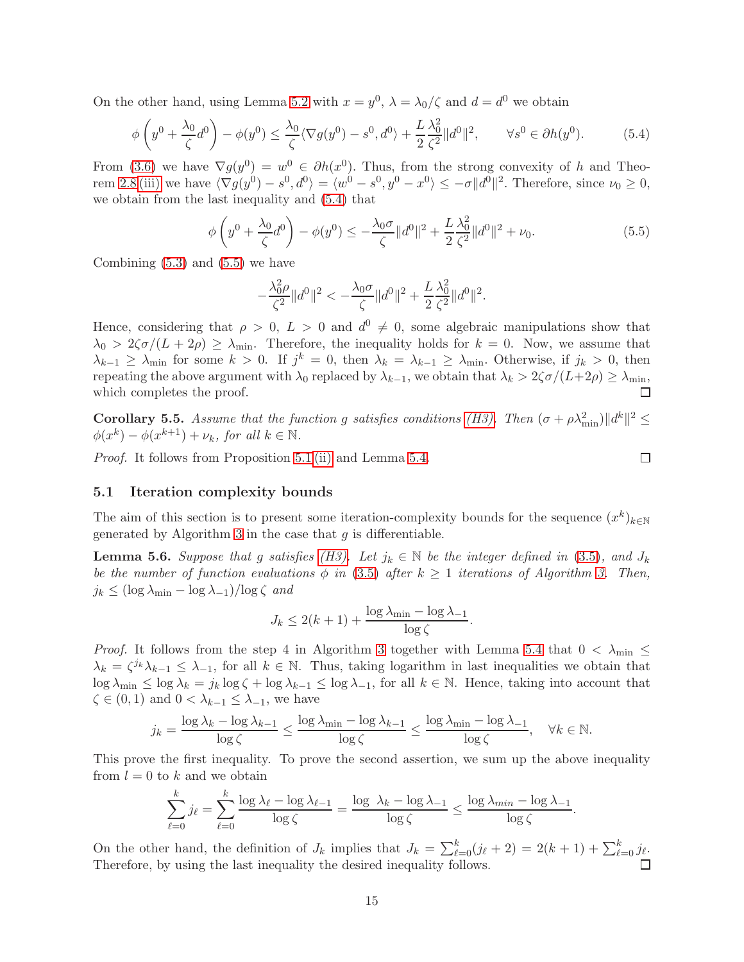On the other hand, using Lemma [5.2](#page-13-1) with  $x = y^0$ ,  $\lambda = \lambda_0/\zeta$  and  $d = d^0$  we obtain

$$
\phi\left(y^0 + \frac{\lambda_0}{\zeta}d^0\right) - \phi(y^0) \le \frac{\lambda_0}{\zeta}\langle \nabla g(y^0) - s^0, d^0 \rangle + \frac{L}{2}\frac{\lambda_0^2}{\zeta^2}||d^0||^2, \qquad \forall s^0 \in \partial h(y^0). \tag{5.4}
$$

From [\(3.6\)](#page-5-1) we have  $\nabla g(y^0) = w^0 \in \partial h(x^0)$ . Thus, from the strong convexity of h and Theo-rem [2.8](#page-2-1) [\(iii\)](#page-2-3) we have  $\langle \nabla g(y^0) - s^0, d^0 \rangle = \langle w^0 - s^0, y^0 - x^0 \rangle \le -\sigma ||d^0||^2$ . Therefore, since  $\nu_0 \ge 0$ , we obtain from the last inequality and [\(5.4\)](#page-14-0) that

$$
\phi\left(y^0 + \frac{\lambda_0}{\zeta}d^0\right) - \phi(y^0) \le -\frac{\lambda_0\sigma}{\zeta} \|d^0\|^2 + \frac{L}{2}\frac{\lambda_0^2}{\zeta^2} \|d^0\|^2 + \nu_0.
$$
\n(5.5)

Combining  $(5.3)$  and  $(5.5)$  we have

<span id="page-14-1"></span>
$$
-\frac{\lambda_0^2 \rho}{\zeta^2} \|d^0\|^2 < -\frac{\lambda_0 \sigma}{\zeta} \|d^0\|^2 + \frac{L}{2} \frac{\lambda_0^2}{\zeta^2} \|d^0\|^2.
$$

Hence, considering that  $\rho > 0$ ,  $L > 0$  and  $d^0 \neq 0$ , some algebraic manipulations show that  $\lambda_0 > 2\zeta\sigma/(L+2\rho) \geq \lambda_{\min}$ . Therefore, the inequality holds for  $k = 0$ . Now, we assume that  $\lambda_{k-1} \geq \lambda_{\min}$  for some  $k > 0$ . If  $j^k = 0$ , then  $\lambda_k = \lambda_{k-1} \geq \lambda_{\min}$ . Otherwise, if  $j_k > 0$ , then repeating the above argument with  $\lambda_0$  replaced by  $\lambda_{k-1}$ , we obtain that  $\lambda_k > 2\zeta \sigma/(L+2\rho) \ge \lambda_{\min}$ , which completes the proof. which completes the proof.

<span id="page-14-2"></span>**Corollary 5.5.** Assume that the function g satisfies conditions [\(H3\).](#page-12-1) Then  $(\sigma + \rho \lambda_{\min}^2) ||d^k||^2 \le$  $\phi(x^k) - \phi(x^{k+1}) + \nu_k$ , for all  $k \in \mathbb{N}$ .

Proof. It follows from Proposition [5.1](#page-12-4) [\(ii\)](#page-12-3) and Lemma [5.4.](#page-13-4)

<span id="page-14-0"></span>
$$
\overline{\Box}
$$

### 5.1 Iteration complexity bounds

The aim of this section is to present some iteration-complexity bounds for the sequence  $(x^k)_{k\in\mathbb{N}}$ generated by Algorithm [3](#page-4-1) in the case that  $g$  is differentiable.

<span id="page-14-3"></span>**Lemma 5.6.** Suppose that g satisfies [\(H3\).](#page-12-1) Let  $j_k \in \mathbb{N}$  be the integer defined in [\(3.5\)](#page-4-2), and  $J_k$ be the number of function evaluations  $\phi$  in [\(3.5\)](#page-4-2) after  $k \geq 1$  iterations of Algorithm [3.](#page-4-1) Then,  $j_k \leq (\log \lambda_{\min} - \log \lambda_{-1})/\log \zeta$  and

$$
J_k \le 2(k+1) + \frac{\log \lambda_{\min} - \log \lambda_{-1}}{\log \zeta}.
$$

*Proof.* It follows from the step 4 in Algorithm [3](#page-4-1) together with Lemma [5.4](#page-13-4) that  $0 < \lambda_{\min} \le$  $\lambda_k = \zeta^{j_k} \lambda_{k-1} \leq \lambda_{-1}$ , for all  $k \in \mathbb{N}$ . Thus, taking logarithm in last inequalities we obtain that  $\log \lambda_{\min} \leq \log \lambda_k = j_k \log \zeta + \log \lambda_{k-1} \leq \log \lambda_{-1}$ , for all  $k \in \mathbb{N}$ . Hence, taking into account that  $\zeta \in (0,1)$  and  $0 < \lambda_{k-1} \leq \lambda_{-1}$ , we have

$$
j_k = \frac{\log \lambda_k - \log \lambda_{k-1}}{\log \zeta} \le \frac{\log \lambda_{\min} - \log \lambda_{k-1}}{\log \zeta} \le \frac{\log \lambda_{\min} - \log \lambda_{-1}}{\log \zeta}, \quad \forall k \in \mathbb{N}.
$$

This prove the first inequality. To prove the second assertion, we sum up the above inequality from  $l = 0$  to k and we obtain

$$
\sum_{\ell=0}^k j_\ell = \sum_{\ell=0}^k \frac{\log \lambda_\ell - \log \lambda_{\ell-1}}{\log \zeta} = \frac{\log \lambda_k - \log \lambda_{-1}}{\log \zeta} \le \frac{\log \lambda_{\min} - \log \lambda_{-1}}{\log \zeta}.
$$

On the other hand, the definition of  $J_k$  implies that  $J_k = \sum_{\ell=0}^k (j_\ell + 2) = 2(k+1) + \sum_{\ell=0}^k j_\ell$ . Therefore, by using the last inequality the desired inequality follows.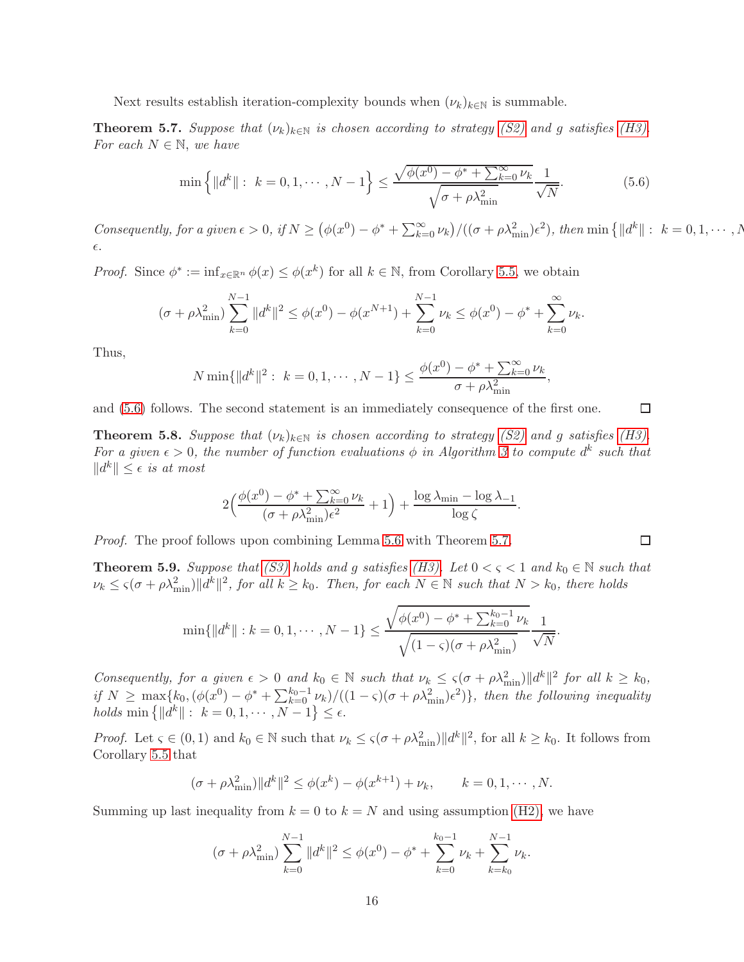Next results establish iteration-complexity bounds when  $(\nu_k)_{k \in \mathbb{N}}$  is summable.

<span id="page-15-1"></span>**Theorem 5.7.** Suppose that  $(\nu_k)_{k \in \mathbb{N}}$  is chosen according to strategy [\(S2\)](#page-7-0) and g satisfies [\(H3\).](#page-12-1) For each  $N \in \mathbb{N}$ , we have

<span id="page-15-0"></span>
$$
\min\left\{ \|d^k\| : k = 0, 1, \cdots, N - 1 \right\} \le \frac{\sqrt{\phi(x^0) - \phi^* + \sum_{k=0}^{\infty} \nu_k}}{\sqrt{\sigma + \rho \lambda_{\min}^2}} \frac{1}{\sqrt{N}}.
$$
\n(5.6)

Consequently, for a given  $\epsilon > 0$ , if  $N \ge (\phi(x^0) - \phi^* + \sum_{k=0}^{\infty} \nu_k)/((\sigma + \rho \lambda_{\min}^2)\epsilon^2)$ , then  $\min \{ ||d^k|| : k = 0, 1, \cdots, N\}$ ǫ.

*Proof.* Since  $\phi^* := \inf_{x \in \mathbb{R}^n} \phi(x) \leq \phi(x^k)$  for all  $k \in \mathbb{N}$ , from Corollary [5.5,](#page-14-2) we obtain

$$
(\sigma + \rho \lambda_{\min}^2) \sum_{k=0}^{N-1} \|d^k\|^2 \le \phi(x^0) - \phi(x^{N+1}) + \sum_{k=0}^{N-1} \nu_k \le \phi(x^0) - \phi^* + \sum_{k=0}^{\infty} \nu_k.
$$

Thus,

$$
N \min\{\|d^k\|^2: k = 0, 1, \cdots, N - 1\} \le \frac{\phi(x^0) - \phi^* + \sum_{k=0}^{\infty} \nu_k}{\sigma + \rho \lambda_{\min}^2},
$$

and [\(5.6\)](#page-15-0) follows. The second statement is an immediately consequence of the first one.

**Theorem 5.8.** Suppose that  $(\nu_k)_{k\in\mathbb{N}}$  is chosen according to strategy [\(S2\)](#page-7-0) and g satisfies [\(H3\).](#page-12-1) For a given  $\epsilon > 0$ , the number of function evaluations  $\phi$  in Algorithm [3](#page-4-1) to compute  $d^k$  such that  $||d^k|| \leq \epsilon$  is at most

$$
2\Big(\frac{\phi(x^0) - \phi^* + \sum_{k=0}^{\infty} \nu_k}{(\sigma + \rho \lambda_{\min}^2)\epsilon^2} + 1\Big) + \frac{\log \lambda_{\min} - \log \lambda_{-1}}{\log \zeta}.
$$

Proof. The proof follows upon combining Lemma [5.6](#page-14-3) with Theorem [5.7.](#page-15-1)

<span id="page-15-2"></span>**Theorem 5.9.** Suppose that [\(S3\)](#page-7-1) holds and g satisfies [\(H3\).](#page-12-1) Let  $0 < \varsigma < 1$  and  $k_0 \in \mathbb{N}$  such that  $\nu_k \leq \varsigma(\sigma + \rho \lambda_{\min}^2) \|d^k\|^2$ , for all  $k \geq k_0$ . Then, for each  $N \in \mathbb{N}$  such that  $N > k_0$ , there holds

$$
\min\{\|d^k\|: k=0,1,\cdots,N-1\} \le \frac{\sqrt{\phi(x^0)-\phi^*+\sum_{k=0}^{k_0-1}\nu_k}}{\sqrt{(1-\varsigma)(\sigma+\rho\lambda_{\min}^2)}}\frac{1}{\sqrt{N}}.
$$

Consequently, for a given  $\epsilon > 0$  and  $k_0 \in \mathbb{N}$  such that  $\nu_k \leq \varsigma(\sigma + \rho \lambda_{\min}^2) ||d^k||^2$  for all  $k \geq k_0$ , if  $N \ge \max\{k_0, (\phi(x^0) - \phi^* + \sum_{k=0}^{k_0-1} \nu_k)/((1-\varsigma)(\sigma + \rho \lambda_{\min}^2)\}\)$ , then the following inequality  $holds \min \{ ||d^k|| : k = 0, 1, \dots, N - 1 \} \le \epsilon.$ 

*Proof.* Let  $\varsigma \in (0,1)$  and  $k_0 \in \mathbb{N}$  such that  $\nu_k \leq \varsigma(\sigma + \rho \lambda_{\min}^2) ||d^k||^2$ , for all  $k \geq k_0$ . It follows from Corollary [5.5](#page-14-2) that

$$
(\sigma + \rho \lambda_{\min}^2) \|d^k\|^2 \le \phi(x^k) - \phi(x^{k+1}) + \nu_k, \qquad k = 0, 1, \cdots, N.
$$

Summing up last inequality from  $k = 0$  to  $k = N$  and using assumption [\(H2\),](#page-3-3) we have

$$
(\sigma + \rho \lambda_{\min}^2) \sum_{k=0}^{N-1} \|d^k\|^2 \le \phi(x^0) - \phi^* + \sum_{k=0}^{k_0 - 1} \nu_k + \sum_{k=k_0}^{N-1} \nu_k.
$$

 $\Box$ 

 $\Box$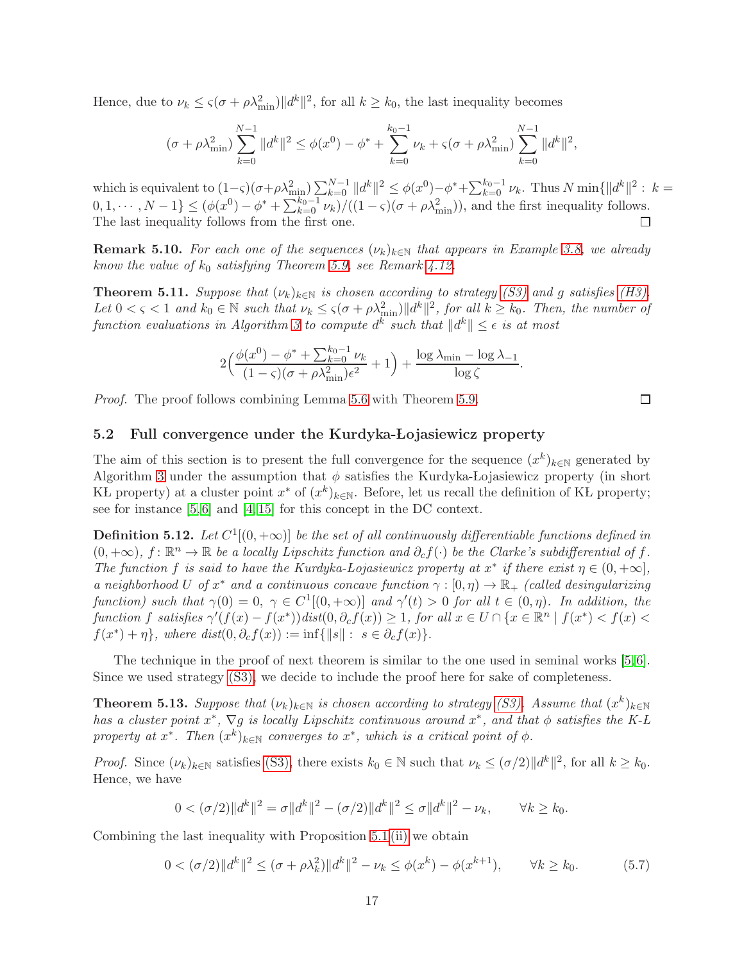Hence, due to  $\nu_k \leq \varsigma(\sigma + \rho \lambda_{\min}^2) ||d^k||^2$ , for all  $k \geq k_0$ , the last inequality becomes

$$
(\sigma + \rho \lambda_{\min}^2) \sum_{k=0}^{N-1} \|d^k\|^2 \le \phi(x^0) - \phi^* + \sum_{k=0}^{k_0 - 1} \nu_k + \varsigma(\sigma + \rho \lambda_{\min}^2) \sum_{k=0}^{N-1} \|d^k\|^2,
$$

which is equivalent to  $(1-\varsigma)(\sigma+\rho\lambda_{\min}^2)\sum_{k=0}^{N-1}||d^k||^2 \leq \phi(x^0)-\phi^*+\sum_{k=0}^{k_0-1}\nu_k$ . Thus  $N \min\{||d^k||^2: k=1, \ldots, N-1\}$  $(0,1,\dots,N-1\} \leq (\phi(x^0) - \phi^* + \sum_{k=0}^{k_0-1} \nu_k)/((1-\varsigma)(\sigma + \rho \lambda_{\min}^2))$ , and the first inequality follows. The last inequality follows from the first one. □

**Remark 5.10.** For each one of the sequences  $(\nu_k)_{k \in \mathbb{N}}$  that appears in Example [3.8,](#page-8-5) we already know the value of  $k_0$  satisfying Theorem [5.9,](#page-15-2) see Remark [4.12.](#page-12-5)

**Theorem 5.11.** Suppose that  $(\nu_k)_{k \in \mathbb{N}}$  is chosen according to strategy [\(S3\)](#page-7-1) and g satisfies [\(H3\).](#page-12-1) Let  $0 < \varsigma < 1$  and  $k_0 \in \mathbb{N}$  such that  $\nu_k \leq \varsigma(\sigma + \rho \lambda_{\min}^2) ||d^k||^2$ , for all  $k \geq k_0$ . Then, the number of function evaluations in Algorithm [3](#page-4-1) to compute  $d^k$  such that  $||d^k|| \leq \epsilon$  is at most

$$
2\Big(\frac{\phi(x^{0}) - \phi^* + \sum_{k=0}^{k_{0}-1} \nu_{k}}{(1-\varsigma)(\sigma + \rho \lambda_{\min}^{2})\epsilon^{2}} + 1\Big) + \frac{\log \lambda_{\min} - \log \lambda_{-1}}{\log \zeta}.
$$

Proof. The proof follows combining Lemma [5.6](#page-14-3) with Theorem [5.9.](#page-15-2)

### 5.2 Full convergence under the Kurdyka-Lojasiewicz property

The aim of this section is to present the full convergence for the sequence  $(x^k)_{k\in\mathbb{N}}$  generated by Algorithm [3](#page-4-1) under the assumption that  $\phi$  satisfies the Kurdyka-Lojasiewicz property (in short KL property) at a cluster point  $x^*$  of  $(x^k)_{k\in\mathbb{N}}$ . Before, let us recall the definition of KL property; see for instance [\[5,](#page-28-10) [6\]](#page-28-11) and [\[4,](#page-28-2) [15\]](#page-28-5) for this concept in the DC context.

**Definition 5.12.** Let  $C^1[(0, +\infty)]$  be the set of all continuously differentiable functions defined in  $(0, +\infty)$ ,  $f: \mathbb{R}^n \to \mathbb{R}$  be a locally Lipschitz function and  $\partial_c f(\cdot)$  be the Clarke's subdifferential of f. The function f is said to have the Kurdyka-Lojasiewicz property at  $x^*$  if there exist  $\eta \in (0, +\infty]$ , a neighborhood U of  $x^*$  and a continuous concave function  $\gamma : [0, \eta) \to \mathbb{R}_+$  (called desingularizing function) such that  $\gamma(0) = 0, \ \gamma \in C^1[(0, +\infty)]$  and  $\gamma'(t) > 0$  for all  $t \in (0, \eta)$ . In addition, the function f satisfies  $\gamma'(f(x) - f(x^*))$  dist $(0, \partial_c f(x)) \geq 1$ , for all  $x \in U \cap \{x \in \mathbb{R}^n \mid f(x^*) < f(x) <$  $f(x^*) + \eta$ , where  $dist(0, \partial_c f(x)) := \inf\{||s|| : s \in \partial_c f(x)\}.$ 

The technique in the proof of next theorem is similar to the one used in seminal works [\[5,](#page-28-10)6]. Since we used strategy [\(S3\),](#page-7-1) we decide to include the proof here for sake of completeness.

<span id="page-16-1"></span>**Theorem 5.13.** Suppose that  $(\nu_k)_{k \in \mathbb{N}}$  is chosen according to strategy [\(S3\).](#page-7-1) Assume that  $(x^k)_{k \in \mathbb{N}}$ has a cluster point  $x^*$ ,  $\nabla g$  is locally Lipschitz continuous around  $x^*$ , and that  $\phi$  satisfies the K-L property at  $x^*$ . Then  $(x^k)_{k\in\mathbb{N}}$  converges to  $x^*$ , which is a critical point of  $\phi$ .

*Proof.* Since  $(\nu_k)_{k \in \mathbb{N}}$  satisfies [\(S3\),](#page-7-1) there exists  $k_0 \in \mathbb{N}$  such that  $\nu_k \leq (\sigma/2) ||d^k||^2$ , for all  $k \geq k_0$ . Hence, we have

<span id="page-16-0"></span>
$$
0 < (\sigma/2) \|d^k\|^2 = \sigma \|d^k\|^2 - (\sigma/2) \|d^k\|^2 \le \sigma \|d^k\|^2 - \nu_k, \qquad \forall k \ge k_0.
$$

Combining the last inequality with Proposition [5.1](#page-12-4) [\(ii\)](#page-12-3) we obtain

$$
0 < (\sigma/2) \|d^k\|^2 \le (\sigma + \rho \lambda_k^2) \|d^k\|^2 - \nu_k \le \phi(x^k) - \phi(x^{k+1}), \qquad \forall k \ge k_0. \tag{5.7}
$$

 $\Box$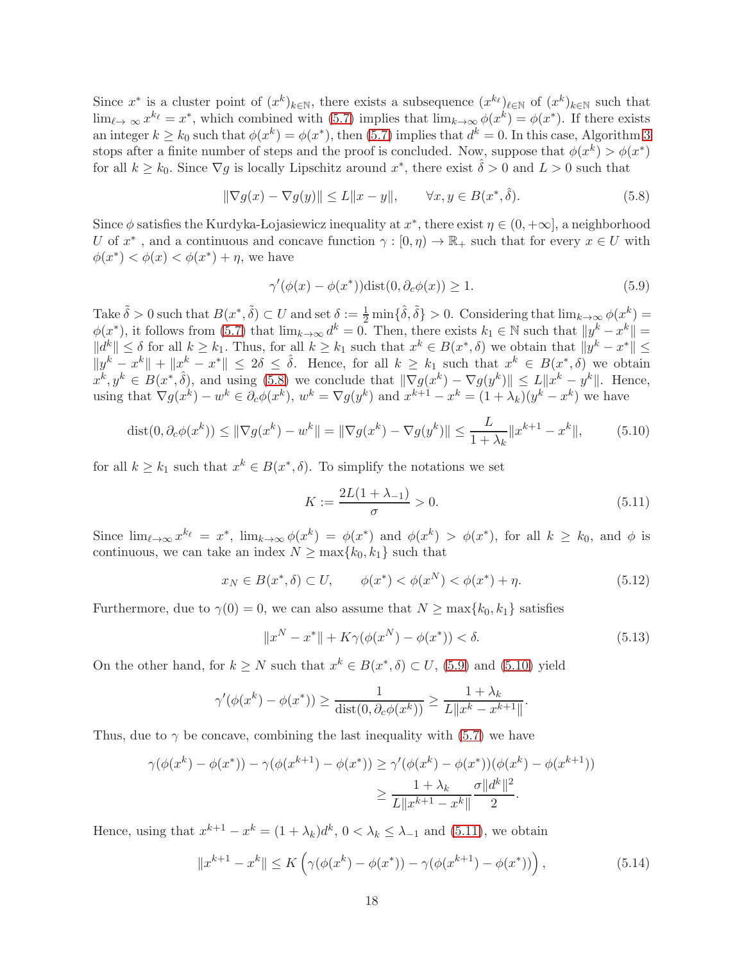Since  $x^*$  is a cluster point of  $(x^k)_{k\in\mathbb{N}}$ , there exists a subsequence  $(x^k)_{\ell\in\mathbb{N}}$  of  $(x^k)_{k\in\mathbb{N}}$  such that  $\lim_{\ell \to \infty} x^{k_{\ell}} = x^*$ , which combined with  $(5.7)$  implies that  $\lim_{k \to \infty} \phi(x^k) = \phi(x^*)$ . If there exists an integer  $k \geq k_0$  such that  $\phi(x^k) = \phi(x^*)$ , then [\(5.7\)](#page-16-0) implies that  $d^k = 0$ . In this case, Algorithm [3](#page-4-1) stops after a finite number of steps and the proof is concluded. Now, suppose that  $\phi(x^k) > \phi(x^*)$ for all  $k \geq k_0$ . Since  $\nabla g$  is locally Lipschitz around  $x^*$ , there exist  $\hat{\delta} > 0$  and  $L > 0$  such that

$$
\|\nabla g(x) - \nabla g(y)\| \le L\|x - y\|, \qquad \forall x, y \in B(x^*, \hat{\delta}).\tag{5.8}
$$

Since  $\phi$  satisfies the Kurdyka-Lojasiewicz inequality at  $x^*$ , there exist  $\eta \in (0, +\infty]$ , a neighborhood U of  $x^*$ , and a continuous and concave function  $\gamma : [0, \eta) \to \mathbb{R}_+$  such that for every  $x \in U$  with  $\phi(x^*) < \phi(x) < \phi(x^*) + \eta$ , we have

<span id="page-17-1"></span><span id="page-17-0"></span>
$$
\gamma'(\phi(x) - \phi(x^*))\text{dist}(0, \partial_c\phi(x)) \ge 1. \tag{5.9}
$$

Take  $\tilde{\delta} > 0$  such that  $B(x^*, \tilde{\delta}) \subset U$  and set  $\delta := \frac{1}{2} \min\{\hat{\delta}, \tilde{\delta}\} > 0$ . Considering that  $\lim_{k \to \infty} \phi(x^k) =$  $\phi(x^*)$ , it follows from [\(5.7\)](#page-16-0) that  $\lim_{k\to\infty} d^k = 0$ . Then, there exists  $k_1 \in \mathbb{N}$  such that  $||y^k - x^k|| =$  $||d^k|| \leq \delta$  for all  $k \geq k_1$ . Thus, for all  $k \geq k_1$  such that  $x^k \in B(x^*, \delta)$  we obtain that  $||y^k - x^*|| \leq$  $\|y^k - x^k\| + \|x^k - x^*\| \leq 2\delta \leq \hat{\delta}$ . Hence, for all  $k \geq k_1$  such that  $x^k \in B(x^*,\delta)$  we obtain  $x^k, y^k \in B(x^*, \hat{\delta})$ , and using [\(5.8\)](#page-17-0) we conclude that  $\|\nabla g(x^k) - \nabla g(y^k)\| \le L \|x^k - y^k\|$ . Hence, using that  $\nabla g(x^k) - w^k \in \partial_c \phi(x^k)$ ,  $w^k = \nabla g(y^k)$  and  $x^{k+1} - x^k = (1 + \lambda_k)(y^k - x^k)$  we have

$$
dist(0, \partial_c \phi(x^k)) \le ||\nabla g(x^k) - w^k|| = ||\nabla g(x^k) - \nabla g(y^k)|| \le \frac{L}{1 + \lambda_k} ||x^{k+1} - x^k||,
$$
(5.10)

for all  $k \geq k_1$  such that  $x^k \in B(x^*, \delta)$ . To simplify the notations we set

<span id="page-17-6"></span><span id="page-17-4"></span><span id="page-17-3"></span><span id="page-17-2"></span>
$$
K := \frac{2L(1 + \lambda_{-1})}{\sigma} > 0.
$$
\n(5.11)

Since  $\lim_{\ell\to\infty} x^{k_{\ell}} = x^*$ ,  $\lim_{k\to\infty} \phi(x^k) = \phi(x^*)$  and  $\phi(x^k) > \phi(x^*)$ , for all  $k \geq k_0$ , and  $\phi$  is continuous, we can take an index  $N \ge \max\{k_0, k_1\}$  such that

$$
x_N \in B(x^*, \delta) \subset U, \qquad \phi(x^*) < \phi(x^N) < \phi(x^*) + \eta. \tag{5.12}
$$

Furthermore, due to  $\gamma(0) = 0$ , we can also assume that  $N \ge \max\{k_0, k_1\}$  satisfies

<span id="page-17-5"></span>
$$
||x^N - x^*|| + K\gamma(\phi(x^N) - \phi(x^*)) < \delta.
$$
 (5.13)

On the other hand, for  $k \geq N$  such that  $x^k \in B(x^*,\delta) \subset U$ , [\(5.9\)](#page-17-1) and [\(5.10\)](#page-17-2) yield

$$
\gamma'(\phi(x^k) - \phi(x^*)) \ge \frac{1}{\text{dist}(0, \partial_c \phi(x^k))} \ge \frac{1 + \lambda_k}{L||x^k - x^{k+1}||}.
$$

Thus, due to  $\gamma$  be concave, combining the last inequality with [\(5.7\)](#page-16-0) we have

$$
\gamma(\phi(x^k) - \phi(x^*)) - \gamma(\phi(x^{k+1}) - \phi(x^*)) \ge \gamma'(\phi(x^k) - \phi(x^*)) (\phi(x^k) - \phi(x^{k+1}))
$$
  

$$
\ge \frac{1 + \lambda_k}{L \|x^{k+1} - x^k\|} \frac{\sigma \|d^k\|^2}{2}.
$$

Hence, using that  $x^{k+1} - x^k = (1 + \lambda_k)d^k$ ,  $0 < \lambda_k \leq \lambda_{-1}$  and [\(5.11\)](#page-17-3), we obtain

$$
||x^{k+1} - x^k|| \le K\left(\gamma(\phi(x^k) - \phi(x^*)) - \gamma(\phi(x^{k+1}) - \phi(x^*))\right),\tag{5.14}
$$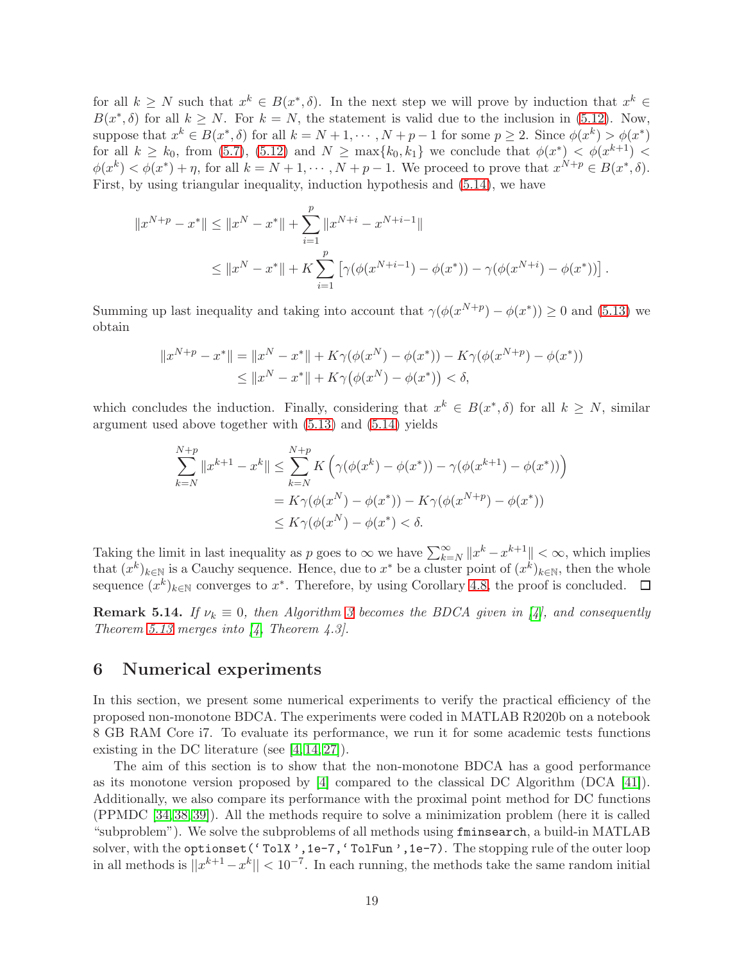for all  $k \geq N$  such that  $x^k \in B(x^*, \delta)$ . In the next step we will prove by induction that  $x^k \in$  $B(x^*,\delta)$  for all  $k \geq N$ . For  $k = N$ , the statement is valid due to the inclusion in [\(5.12\)](#page-17-4). Now, suppose that  $x^k \in B(x^*,\delta)$  for all  $k = N + 1, \cdots, N + p - 1$  for some  $p \ge 2$ . Since  $\phi(x^k) > \phi(x^*)$ for all  $k \geq k_0$ , from [\(5.7\)](#page-16-0), [\(5.12\)](#page-17-4) and  $N \geq \max\{k_0, k_1\}$  we conclude that  $\phi(x^*) < \phi(x^{k+1})$  $\phi(x^k) < \phi(x^*) + \eta$ , for all  $k = N + 1, \dots, N + p - 1$ . We proceed to prove that  $x^{N+p} \in B(x^*, \delta)$ . First, by using triangular inequality, induction hypothesis and [\(5.14\)](#page-17-5), we have

$$
||x^{N+p} - x^*|| \le ||x^N - x^*|| + \sum_{i=1}^p ||x^{N+i} - x^{N+i-1}||
$$
  

$$
\le ||x^N - x^*|| + K \sum_{i=1}^p \left[ \gamma(\phi(x^{N+i-1}) - \phi(x^*)) - \gamma(\phi(x^{N+i}) - \phi(x^*)) \right].
$$

Summing up last inequality and taking into account that  $\gamma(\phi(x^{N+p}) - \phi(x^*)) \ge 0$  and [\(5.13\)](#page-17-6) we obtain

$$
||x^{N+p} - x^*|| = ||x^N - x^*|| + K\gamma(\phi(x^N) - \phi(x^*)) - K\gamma(\phi(x^{N+p}) - \phi(x^*))
$$
  
\n
$$
\le ||x^N - x^*|| + K\gamma(\phi(x^N) - \phi(x^*)) < \delta,
$$

which concludes the induction. Finally, considering that  $x^k \in B(x^*,\delta)$  for all  $k \geq N$ , similar argument used above together with [\(5.13\)](#page-17-6) and [\(5.14\)](#page-17-5) yields

$$
\sum_{k=N}^{N+p} ||x^{k+1} - x^k|| \le \sum_{k=N}^{N+p} K(\gamma(\phi(x^k) - \phi(x^*)) - \gamma(\phi(x^{k+1}) - \phi(x^*))
$$
  
=  $K\gamma(\phi(x^N) - \phi(x^*)) - K\gamma(\phi(x^{N+p}) - \phi(x^*))$   
 $\le K\gamma(\phi(x^N) - \phi(x^*) < \delta.$ 

Taking the limit in last inequality as p goes to  $\infty$  we have  $\sum_{k=N}^{\infty} ||x^k - x^{k+1}|| < \infty$ , which implies that  $(x^k)_{k\in\mathbb{N}}$  is a Cauchy sequence. Hence, due to  $x^*$  be a cluster point of  $(x^k)_{k\in\mathbb{N}}$ , then the whole sequence  $(x^k)_{k\in\mathbb{N}}$  converges to  $x^*$ . Therefore, by using Corollary [4.8,](#page-11-0) the proof is concluded.

**Remark 5.14.** If  $\nu_k \equiv 0$ , then Algorithm [3](#page-4-1) becomes the BDCA given in [\[4\]](#page-28-2), and consequently Theorem [5.13](#page-16-1) merges into  $\begin{bmatrix} 4 \\ 7 \end{bmatrix}$ . Theorem 4.3.

### <span id="page-18-0"></span>6 Numerical experiments

In this section, we present some numerical experiments to verify the practical efficiency of the proposed non-monotone BDCA. The experiments were coded in MATLAB R2020b on a notebook 8 GB RAM Core i7. To evaluate its performance, we run it for some academic tests functions existing in the DC literature (see [\[4,](#page-28-2) [14,](#page-28-1) [27\]](#page-29-11)).

The aim of this section is to show that the non-monotone BDCA has a good performance as its monotone version proposed by [\[4\]](#page-28-2) compared to the classical DC Algorithm (DCA [\[41\]](#page-30-5)). Additionally, we also compare its performance with the proximal point method for DC functions (PPMDC [\[34,](#page-30-8) [38,](#page-30-9) [39\]](#page-30-10)). All the methods require to solve a minimization problem (here it is called "subproblem"). We solve the subproblems of all methods using fminsearch, a build-in MATLAB solver, with the optionset ('TolX', 1e-7, 'TolFun', 1e-7). The stopping rule of the outer loop in all methods is  $||x^{k+1} - x^k|| < 10^{-7}$ . In each running, the methods take the same random initial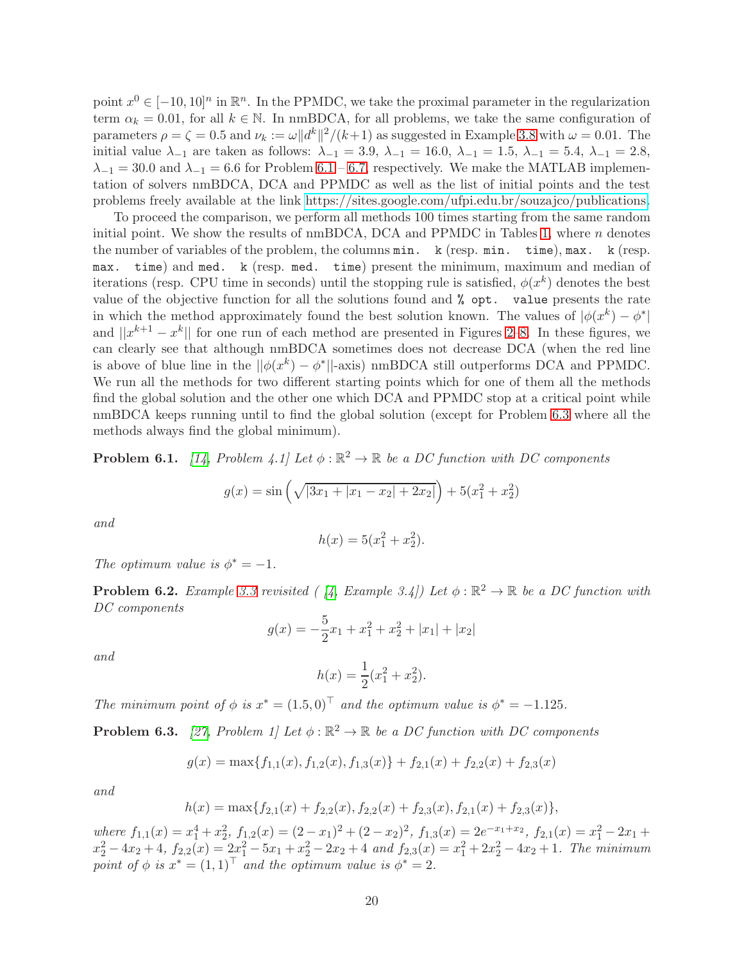<span id="page-19-5"></span><span id="page-19-4"></span><span id="page-19-3"></span>point  $x^0 \in [-10, 10]^n$  in  $\mathbb{R}^n$ . In the PPMDC, we take the proximal parameter in the regularization term  $\alpha_k = 0.01$ , for all  $k \in \mathbb{N}$ . In nmBDCA, for all problems, we take the same configuration of parameters  $\rho = \zeta = 0.5$  and  $\nu_k := \omega ||d^k||^2 / (k+1)$  as suggested in Example [3.8](#page-8-5) with  $\omega = 0.01$ . The initial value  $\lambda_{-1}$  are taken as follows:  $\lambda_{-1} = 3.9, \lambda_{-1} = 16.0, \lambda_{-1} = 1.5, \lambda_{-1} = 5.4, \lambda_{-1} = 2.8,$  $\lambda_{-1} = 30.0$  and  $\lambda_{-1} = 6.6$  for Problem [6.1](#page-19-0) – [6.7,](#page-20-0) respectively. We make the MATLAB implementation of solvers nmBDCA, DCA and PPMDC as well as the list of initial points and the test problems freely available at the link [https://sites.google.com/ufpi.edu.br/souzajco/publications.](https://sites.google.com/ufpi.edu.br/souzajco/publications)

To proceed the comparison, we perform all methods 100 times starting from the same random initial point. We show the results of  $\mu_{\text{BDCA}}$ , DCA and PPMDC in Tables [1,](#page-22-0) where *n* denotes the number of variables of the problem, the columns min. k (resp. min. time), max. k (resp. max. time) and med. k (resp. med. time) present the minimum, maximum and median of iterations (resp. CPU time in seconds) until the stopping rule is satisfied,  $\phi(x^k)$  denotes the best value of the objective function for all the solutions found and % opt. value presents the rate in which the method approximately found the best solution known. The values of  $|\phi(x^k) - \phi^*|$ and  $||x^{k+1} - x^k||$  for one run of each method are presented in Figures [2–](#page-21-0)[8.](#page-23-0) In these figures, we can clearly see that although nmBDCA sometimes does not decrease DCA (when the red line is above of blue line in the  $||\phi(x^k) - \phi^*||$ -axis) nmBDCA still outperforms DCA and PPMDC. We run all the methods for two different starting points which for one of them all the methods find the global solution and the other one which DCA and PPMDC stop at a critical point while nmBDCA keeps running until to find the global solution (except for Problem [6.3](#page-19-1) where all the methods always find the global minimum).

<span id="page-19-0"></span>**Problem 6.1.** [\[14,](#page-28-1) Problem 4.1] Let  $\phi : \mathbb{R}^2 \to \mathbb{R}$  be a DC function with DC components

$$
g(x) = \sin\left(\sqrt{|3x_1 + |x_1 - x_2| + 2x_2|}\right) + 5(x_1^2 + x_2^2)
$$

and

$$
h(x) = 5(x_1^2 + x_2^2).
$$

The optimum value is  $\phi^* = -1$ .

<span id="page-19-2"></span>**Problem 6.2.** Example [3.3](#page-5-0) revisited ( [\[4,](#page-28-2) Example 3.4]) Let  $\phi : \mathbb{R}^2 \to \mathbb{R}$  be a DC function with DC components

$$
g(x) = -\frac{5}{2}x_1 + x_1^2 + x_2^2 + |x_1| + |x_2|
$$

and

$$
h(x) = \frac{1}{2}(x_1^2 + x_2^2).
$$

The minimum point of  $\phi$  is  $x^* = (1.5, 0)^\top$  and the optimum value is  $\phi^* = -1.125$ .

<span id="page-19-1"></span>**Problem 6.3.** [\[27,](#page-29-11) Problem 1] Let  $\phi : \mathbb{R}^2 \to \mathbb{R}$  be a DC function with DC components

$$
g(x) = \max\{f_{1,1}(x), f_{1,2}(x), f_{1,3}(x)\} + f_{2,1}(x) + f_{2,2}(x) + f_{2,3}(x)
$$

and

$$
h(x) = \max\{f_{2,1}(x) + f_{2,2}(x), f_{2,2}(x) + f_{2,3}(x), f_{2,1}(x) + f_{2,3}(x)\},\
$$

where  $f_{1,1}(x) = x_1^4 + x_2^2$ ,  $f_{1,2}(x) = (2-x_1)^2 + (2-x_2)^2$ ,  $f_{1,3}(x) = 2e^{-x_1+x_2}$ ,  $f_{2,1}(x) = x_1^2 - 2x_1 +$  $x_2^2 - 4x_2 + 4$ ,  $f_{2,2}(x) = 2x_1^2 - 5x_1 + x_2^2 - 2x_2 + 4$  and  $f_{2,3}(x) = x_1^2 + 2x_2^2 - 4x_2 + 1$ . The minimum point of  $\phi$  is  $x^* = (1, 1)^\top$  and the optimum value is  $\phi^* = 2$ .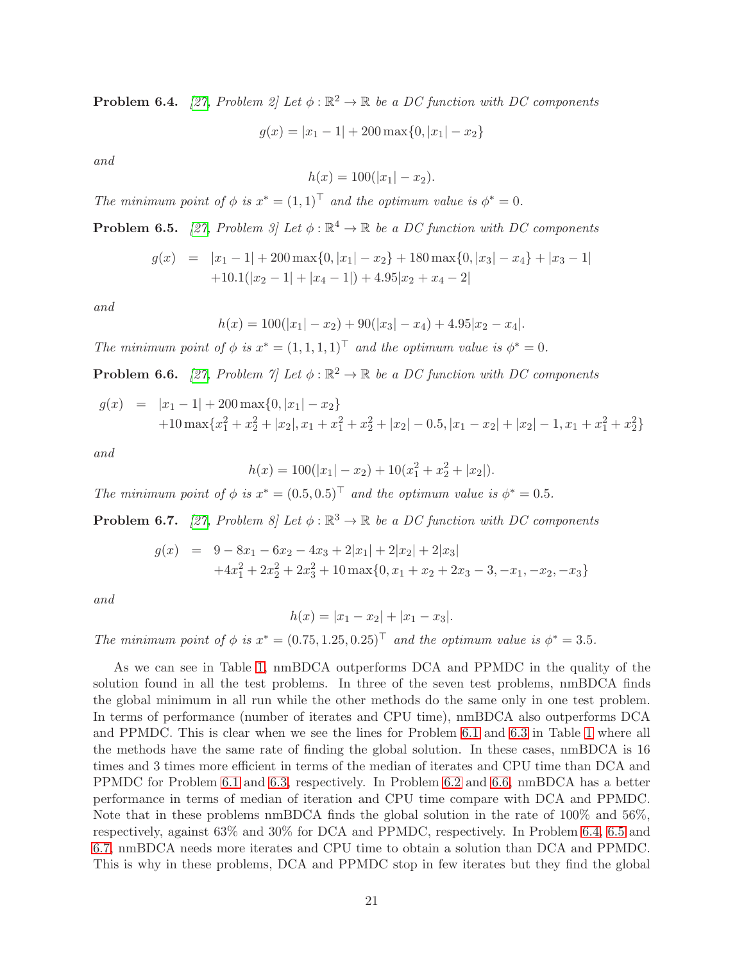<span id="page-20-2"></span>**Problem 6.4.** [\[27,](#page-29-11) Problem 2] Let  $\phi : \mathbb{R}^2 \to \mathbb{R}$  be a DC function with DC components

 $g(x) = |x_1 - 1| + 200 \max\{0, |x_1| - x_2\}$ 

and

<span id="page-20-7"></span><span id="page-20-6"></span><span id="page-20-5"></span><span id="page-20-4"></span>
$$
h(x) = 100(|x_1| - x_2).
$$

The minimum point of  $\phi$  is  $x^* = (1,1)^\top$  and the optimum value is  $\phi^* = 0$ .

<span id="page-20-3"></span>**Problem 6.5.** [\[27,](#page-29-11) Problem 3] Let  $\phi : \mathbb{R}^4 \to \mathbb{R}$  be a DC function with DC components

$$
g(x) = |x_1 - 1| + 200 \max\{0, |x_1| - x_2\} + 180 \max\{0, |x_3| - x_4\} + |x_3 - 1|
$$
  
+10.1(|x\_2 - 1| + |x\_4 - 1|) + 4.95|x\_2 + x\_4 - 2|

and

$$
h(x) = 100(|x_1| - x_2) + 90(|x_3| - x_4) + 4.95|x_2 - x_4|.
$$

The minimum point of  $\phi$  is  $x^* = (1, 1, 1, 1)^\top$  and the optimum value is  $\phi^* = 0$ .

<span id="page-20-1"></span>**Problem 6.6.** [\[27,](#page-29-11) Problem  $\gamma$ ] Let  $\phi : \mathbb{R}^2 \to \mathbb{R}$  be a DC function with DC components

$$
g(x) = |x_1 - 1| + 200 \max\{0, |x_1| - x_2\}
$$
  
+10 max{ $x_1^2 + x_2^2 + |x_2|, x_1 + x_1^2 + x_2^2 + |x_2| - 0.5, |x_1 - x_2| + |x_2| - 1, x_1 + x_1^2 + x_2^2\}$ 

and

$$
h(x) = 100(|x_1| - x_2) + 10(x_1^2 + x_2^2 + |x_2|).
$$

The minimum point of  $\phi$  is  $x^* = (0.5, 0.5)^T$  and the optimum value is  $\phi^* = 0.5$ .

<span id="page-20-0"></span>**Problem 6.7.** [\[27,](#page-29-11) Problem 8] Let  $\phi : \mathbb{R}^3 \to \mathbb{R}$  be a DC function with DC components

$$
g(x) = 9 - 8x_1 - 6x_2 - 4x_3 + 2|x_1| + 2|x_2| + 2|x_3|
$$
  
+4x<sub>1</sub><sup>2</sup> + 2x<sub>2</sub><sup>2</sup> + 2x<sub>3</sub><sup>2</sup> + 10 max{0, x<sub>1</sub> + x<sub>2</sub> + 2x<sub>3</sub> - 3, -x<sub>1</sub>, -x<sub>2</sub>, -x<sub>3</sub>}

and

$$
h(x) = |x_1 - x_2| + |x_1 - x_3|.
$$

The minimum point of  $\phi$  is  $x^* = (0.75, 1.25, 0.25)^\top$  and the optimum value is  $\phi^* = 3.5$ .

As we can see in Table [1,](#page-22-0) nmBDCA outperforms DCA and PPMDC in the quality of the solution found in all the test problems. In three of the seven test problems, nmBDCA finds the global minimum in all run while the other methods do the same only in one test problem. In terms of performance (number of iterates and CPU time), nmBDCA also outperforms DCA and PPMDC. This is clear when we see the lines for Problem [6.1](#page-19-0) and [6.3](#page-19-1) in Table [1](#page-22-0) where all the methods have the same rate of finding the global solution. In these cases, nmBDCA is 16 times and 3 times more efficient in terms of the median of iterates and CPU time than DCA and PPMDC for Problem [6.1](#page-19-0) and [6.3,](#page-19-1) respectively. In Problem [6.2](#page-19-2) and [6.6,](#page-20-1) nmBDCA has a better performance in terms of median of iteration and CPU time compare with DCA and PPMDC. Note that in these problems nmBDCA finds the global solution in the rate of 100% and 56%, respectively, against 63% and 30% for DCA and PPMDC, respectively. In Problem [6.4,](#page-20-2) [6.5](#page-20-3) and [6.7,](#page-20-0) nmBDCA needs more iterates and CPU time to obtain a solution than DCA and PPMDC. This is why in these problems, DCA and PPMDC stop in few iterates but they find the global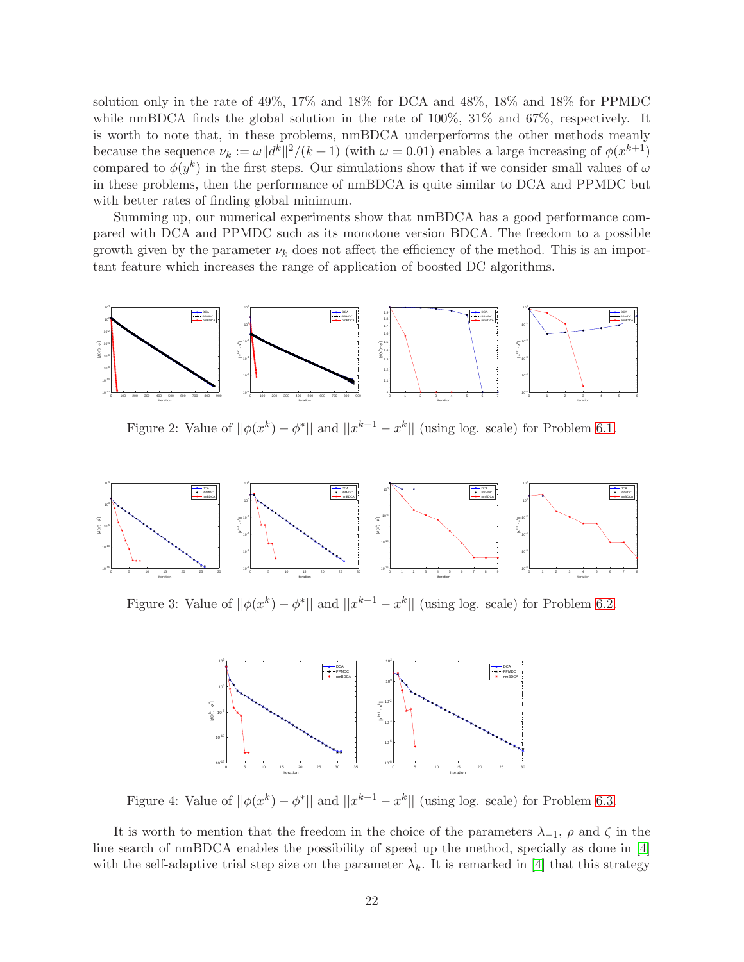solution only in the rate of 49%, 17% and 18% for DCA and 48%, 18% and 18% for PPMDC while nmBDCA finds the global solution in the rate of  $100\%$ ,  $31\%$  and  $67\%$ , respectively. It is worth to note that, in these problems, nmBDCA underperforms the other methods meanly because the sequence  $\nu_k := \omega ||d^k||^2/(k+1)$  (with  $\omega = 0.01$ ) enables a large increasing of  $\phi(x^{k+1})$ compared to  $\phi(y^k)$  in the first steps. Our simulations show that if we consider small values of  $\omega$ in these problems, then the performance of nmBDCA is quite similar to DCA and PPMDC but with better rates of finding global minimum.

Summing up, our numerical experiments show that nmBDCA has a good performance compared with DCA and PPMDC such as its monotone version BDCA. The freedom to a possible growth given by the parameter  $\nu_k$  does not affect the efficiency of the method. This is an important feature which increases the range of application of boosted DC algorithms.



<span id="page-21-0"></span>Figure 2: Value of  $||\phi(x^k) - \phi^*||$  and  $||x^{k+1} - x^k||$  (using log. scale) for Problem [6.1.](#page-19-0)



Figure 3: Value of  $||\phi(x^k) - \phi^*||$  and  $||x^{k+1} - x^k||$  (using log. scale) for Problem [6.2.](#page-19-2)



Figure 4: Value of  $||\phi(x^k) - \phi^*||$  and  $||x^{k+1} - x^k||$  (using log. scale) for Problem [6.3.](#page-19-1)

It is worth to mention that the freedom in the choice of the parameters  $\lambda_{-1}$ ,  $\rho$  and  $\zeta$  in the line search of nmBDCA enables the possibility of speed up the method, specially as done in [\[4\]](#page-28-2) with the self-adaptive trial step size on the parameter  $\lambda_k$ . It is remarked in [\[4\]](#page-28-2) that this strategy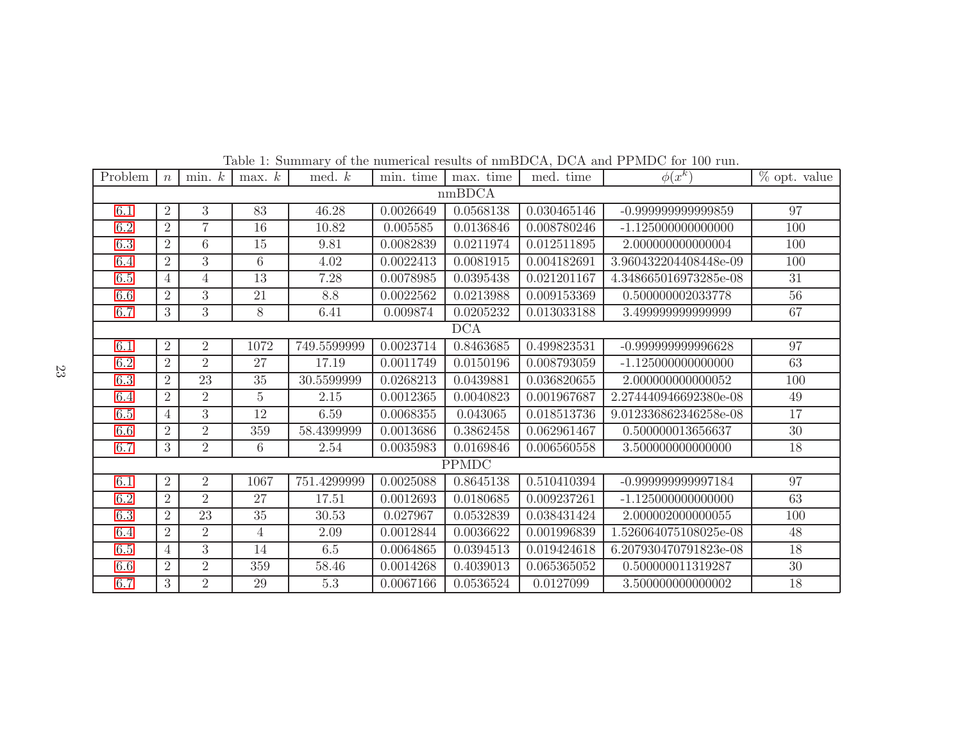| Problem      | $\boldsymbol{n}$ | min. k          | max. k         | med. $k$          | min. time | max. time | med. time   | $\phi(x^k)$           | $%$ opt. value |
|--------------|------------------|-----------------|----------------|-------------------|-----------|-----------|-------------|-----------------------|----------------|
| nmBDCA       |                  |                 |                |                   |           |           |             |                       |                |
| 6.1          | $\overline{2}$   | 3               | 83             | 46.28             | 0.0026649 | 0.0568138 | 0.030465146 | -0.99999999999859     | 97             |
| $6.2\,$      | $\overline{2}$   | $\overline{7}$  | 16             | 10.82             | 0.005585  | 0.0136846 | 0.008780246 | $-1.125000000000000$  | 100            |
| 6.3          | $\overline{2}$   | 6               | 15             | 9.81              | 0.0082839 | 0.0211974 | 0.012511895 | 2.000000000000004     | 100            |
| 6.4          | $\overline{2}$   | $\overline{3}$  | 6              | 4.02              | 0.0022413 | 0.0081915 | 0.004182691 | 3.960432204408448e-09 | 100            |
| $6.5\,$      | 4                | $\overline{4}$  | 13             | $\overline{7}.28$ | 0.0078985 | 0.0395438 | 0.021201167 | 4.348665016973285e-08 | 31             |
| 6.6          | $\overline{2}$   | 3               | 21             | 8.8               | 0.0022562 | 0.0213988 | 0.009153369 | 0.500000002033778     | 56             |
| 6.7          | 3                | 3               | 8              | 6.41              | 0.009874  | 0.0205232 | 0.013033188 | 3.499999999999999     | 67             |
| DCA          |                  |                 |                |                   |           |           |             |                       |                |
| 6.1          | $\overline{2}$   | $\overline{2}$  | 1072           | 749.5599999       | 0.0023714 | 0.8463685 | 0.499823531 | -0.999999999996628    | 97             |
| 6.2          | $\overline{2}$   | $\overline{2}$  | 27             | 17.19             | 0.0011749 | 0.0150196 | 0.008793059 | $-1.125000000000000$  | 63             |
| 6.3          | $\overline{2}$   | $\overline{23}$ | 35             | 30.5599999        | 0.0268213 | 0.0439881 | 0.036820655 | 2.000000000000052     | 100            |
| 6.4          | $\overline{2}$   | $\overline{2}$  | $\overline{5}$ | 2.15              | 0.0012365 | 0.0040823 | 0.001967687 | 2.274440946692380e-08 | 49             |
| $6.5\,$      | $\overline{4}$   | $\overline{3}$  | 12             | 6.59              | 0.0068355 | 0.043065  | 0.018513736 | 9.012336862346258e-08 | 17             |
| 6.6          | $\overline{2}$   | $\overline{2}$  | 359            | 58.4399999        | 0.0013686 | 0.3862458 | 0.062961467 | 0.500000013656637     | 30             |
| 6.7          | 3                | $\overline{2}$  | 6              | 2.54              | 0.0035983 | 0.0169846 | 0.006560558 | 3.500000000000000     | 18             |
| <b>PPMDC</b> |                  |                 |                |                   |           |           |             |                       |                |
| 6.1          | $\overline{2}$   | $\overline{2}$  | 1067           | 751.4299999       | 0.0025088 | 0.8645138 | 0.510410394 | -0.999999999997184    | 97             |
| 6.2          | $\overline{2}$   | $\overline{2}$  | 27             | 17.51             | 0.0012693 | 0.0180685 | 0.009237261 | $-1.125000000000000$  | 63             |
| $6.3\,$      | $\overline{2}$   | $\overline{23}$ | 35             | 30.53             | 0.027967  | 0.0532839 | 0.038431424 | 2.000002000000055     | 100            |
| 6.4          | $\overline{2}$   | $\overline{2}$  | $\overline{4}$ | 2.09              | 0.0012844 | 0.0036622 | 0.001996839 | 1.526064075108025e-08 | 48             |
| $6.5\,$      | 4                | $\overline{3}$  | 14             | 6.5               | 0.0064865 | 0.0394513 | 0.019424618 | 6.207930470791823e-08 | 18             |
| 6.6          | $\overline{2}$   | $\overline{2}$  | 359            | 58.46             | 0.0014268 | 0.4039013 | 0.065365052 | 0.500000011319287     | 30             |
| 6.7          | 3                | $\overline{2}$  | 29             | 5.3               | 0.0067166 | 0.0536524 | 0.0127099   | 3.500000000000002     | 18             |

<span id="page-22-0"></span>Table 1: Summary of the numerical results of nmBDCA, DCA and PPMDC for <sup>100</sup> run.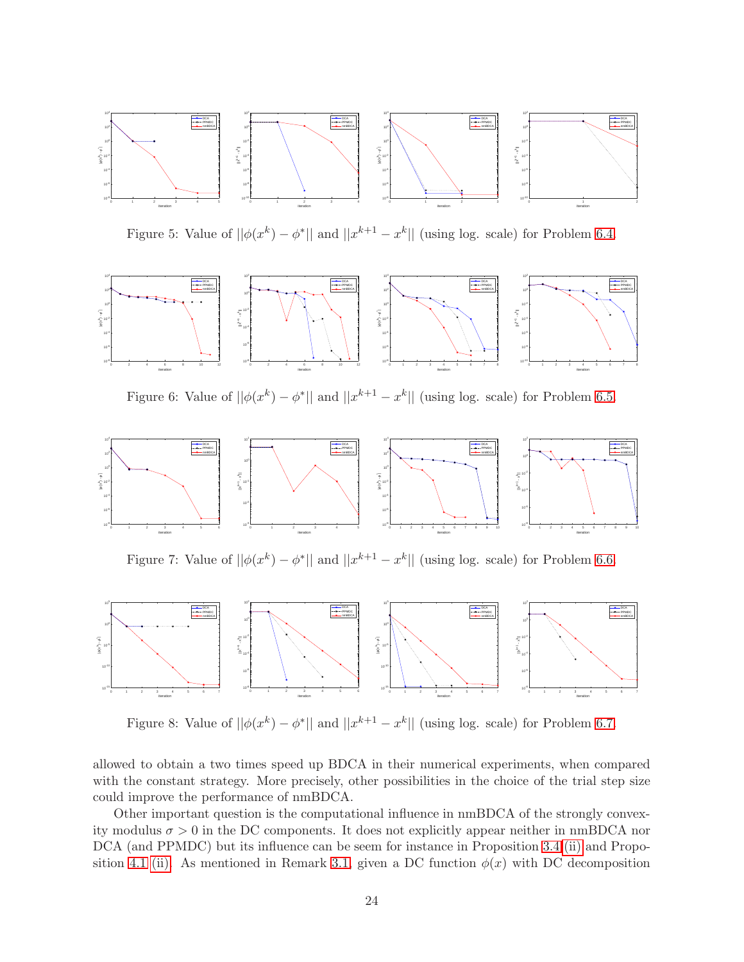

Figure 5: Value of  $||\phi(x^k) - \phi^*||$  and  $||x^{k+1} - x^k||$  (using log. scale) for Problem [6.4.](#page-20-2)



Figure 6: Value of  $||\phi(x^k) - \phi^*||$  and  $||x^{k+1} - x^k||$  (using log. scale) for Problem [6.5.](#page-20-3)



Figure 7: Value of  $||\phi(x^k) - \phi^*||$  and  $||x^{k+1} - x^k||$  (using log. scale) for Problem [6.6.](#page-20-1)



<span id="page-23-0"></span>Figure 8: Value of  $||\phi(x^k) - \phi^*||$  and  $||x^{k+1} - x^k||$  (using log. scale) for Problem [6.7.](#page-20-0)

allowed to obtain a two times speed up BDCA in their numerical experiments, when compared with the constant strategy. More precisely, other possibilities in the choice of the trial step size could improve the performance of nmBDCA.

Other important question is the computational influence in nmBDCA of the strongly convexity modulus  $\sigma > 0$  in the DC components. It does not explicitly appear neither in nmBDCA nor DCA (and PPMDC) but its influence can be seem for instance in Proposition [3.4](#page-6-9) [\(ii\)](#page-6-4) and Propo-sition [4.1](#page-8-1) [\(ii\).](#page-8-2) As mentioned in Remark [3.1,](#page-3-8) given a DC function  $\phi(x)$  with DC decomposition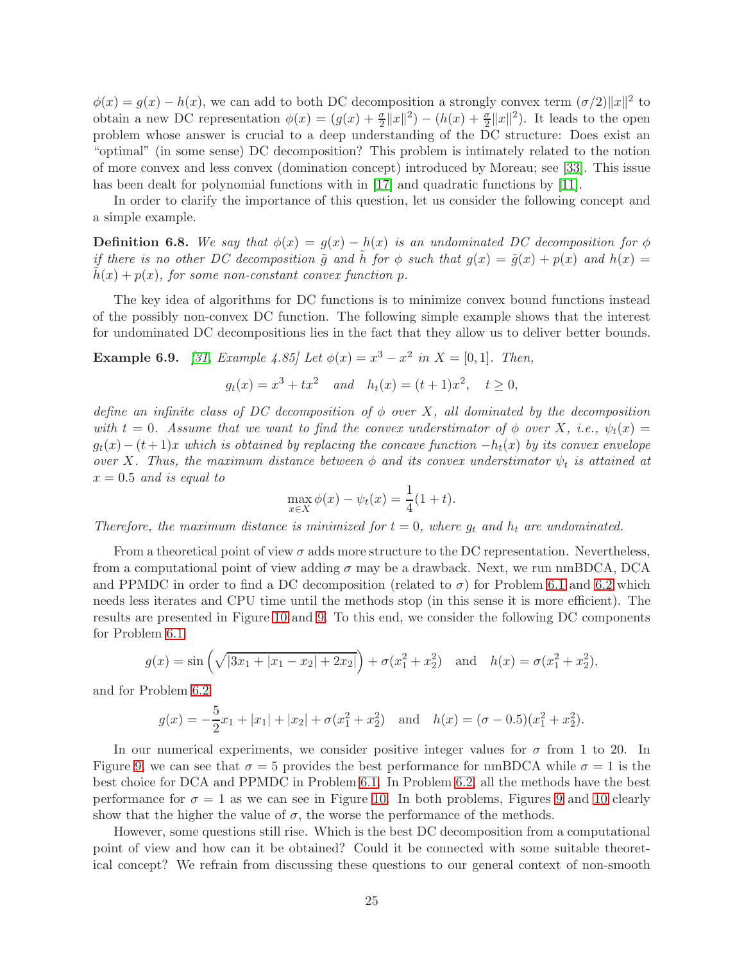$\phi(x) = g(x) - h(x)$ , we can add to both DC decomposition a strongly convex term  $(\sigma/2) ||x||^2$  to obtain a new DC representation  $\phi(x) = (g(x) + \frac{\sigma}{2}||x||^2) - (h(x) + \frac{\sigma}{2}||x||^2)$ . It leads to the open problem whose answer is crucial to a deep understanding of the DC structure: Does exist an "optimal" (in some sense) DC decomposition? This problem is intimately related to the notion of more convex and less convex (domination concept) introduced by Moreau; see [\[33\]](#page-30-13). This issue has been dealt for polynomial functions with in [\[17\]](#page-29-12) and quadratic functions by [\[11\]](#page-28-12).

In order to clarify the importance of this question, let us consider the following concept and a simple example.

**Definition 6.8.** We say that  $\phi(x) = g(x) - h(x)$  is an undominated DC decomposition for  $\phi$ if there is no other DC decomposition  $\tilde{g}$  and h for  $\phi$  such that  $g(x) = \tilde{g}(x) + p(x)$  and  $h(x) =$  $h(x) + p(x)$ , for some non-constant convex function p.

The key idea of algorithms for DC functions is to minimize convex bound functions instead of the possibly non-convex DC function. The following simple example shows that the interest for undominated DC decompositions lies in the fact that they allow us to deliver better bounds.

**Example 6.9.** [\[31,](#page-30-14) Example 4.85] Let  $\phi(x) = x^3 - x^2$  in  $X = [0, 1]$ . Then,

$$
g_t(x) = x^3 + tx^2
$$
 and  $h_t(x) = (t+1)x^2$ ,  $t \ge 0$ ,

define an infinite class of DC decomposition of  $\phi$  over X, all dominated by the decomposition with  $t = 0$ . Assume that we want to find the convex understimator of  $\phi$  over X, i.e.,  $\psi_t(x) =$  $g_t(x)-(t+1)x$  which is obtained by replacing the concave function  $-h_t(x)$  by its convex envelope over X. Thus, the maximum distance between  $\phi$  and its convex understimator  $\psi_t$  is attained at  $x = 0.5$  and is equal to

$$
\max_{x \in X} \phi(x) - \psi_t(x) = \frac{1}{4}(1+t).
$$

Therefore, the maximum distance is minimized for  $t = 0$ , where  $g_t$  and  $h_t$  are undominated.

From a theoretical point of view  $\sigma$  adds more structure to the DC representation. Nevertheless, from a computational point of view adding  $\sigma$  may be a drawback. Next, we run nmBDCA, DCA and PPMDC in order to find a DC decomposition (related to  $\sigma$ ) for Problem [6.1](#page-19-0) and [6.2](#page-19-2) which needs less iterates and CPU time until the methods stop (in this sense it is more efficient). The results are presented in Figure [10](#page-25-0) and [9.](#page-25-1) To this end, we consider the following DC components for Problem [6.1](#page-19-0)

$$
g(x) = \sin\left(\sqrt{|3x_1 + |x_1 - x_2| + 2x_2|}\right) + \sigma(x_1^2 + x_2^2)
$$
 and  $h(x) = \sigma(x_1^2 + x_2^2)$ ,

and for Problem [6.2](#page-19-2)

$$
g(x) = -\frac{5}{2}x_1 + |x_1| + |x_2| + \sigma(x_1^2 + x_2^2) \quad \text{and} \quad h(x) = (\sigma - 0.5)(x_1^2 + x_2^2).
$$

In our numerical experiments, we consider positive integer values for  $\sigma$  from 1 to 20. In Figure [9,](#page-25-1) we can see that  $\sigma = 5$  provides the best performance for nmBDCA while  $\sigma = 1$  is the best choice for DCA and PPMDC in Problem [6.1.](#page-19-0) In Problem [6.2,](#page-19-2) all the methods have the best performance for  $\sigma = 1$  as we can see in Figure [10.](#page-25-0) In both problems, Figures [9](#page-25-1) and [10](#page-25-0) clearly show that the higher the value of  $\sigma$ , the worse the performance of the methods.

However, some questions still rise. Which is the best DC decomposition from a computational point of view and how can it be obtained? Could it be connected with some suitable theoretical concept? We refrain from discussing these questions to our general context of non-smooth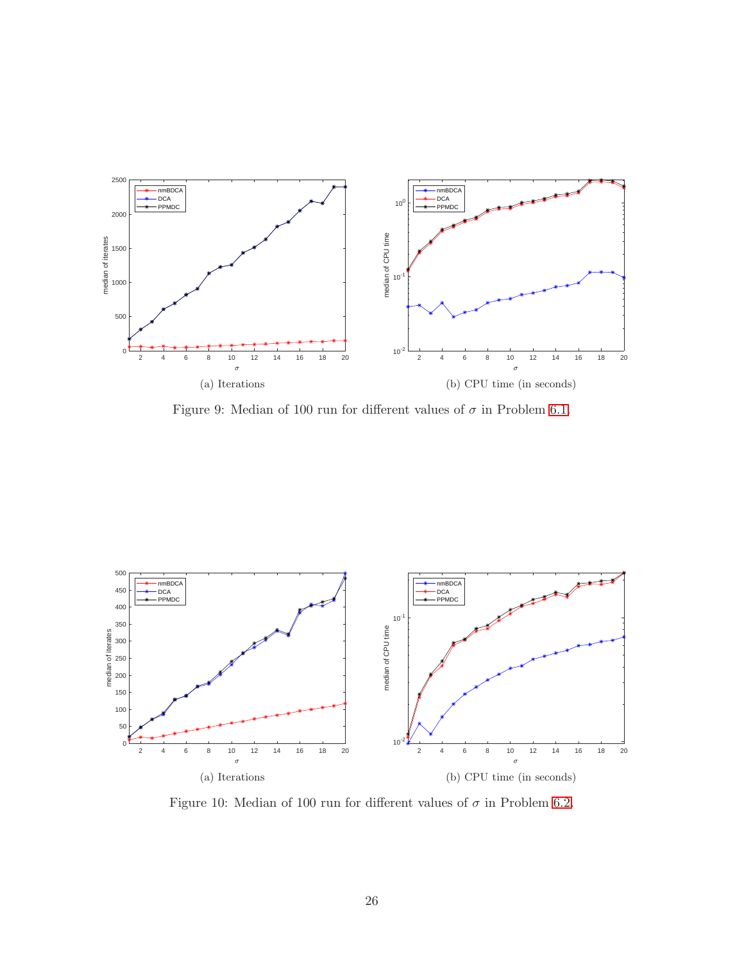

<span id="page-25-1"></span>Figure 9: Median of 100 run for different values of  $\sigma$  in Problem [6.1.](#page-19-0)



<span id="page-25-0"></span>Figure 10: Median of 100 run for different values of  $\sigma$  in Problem [6.2.](#page-19-2)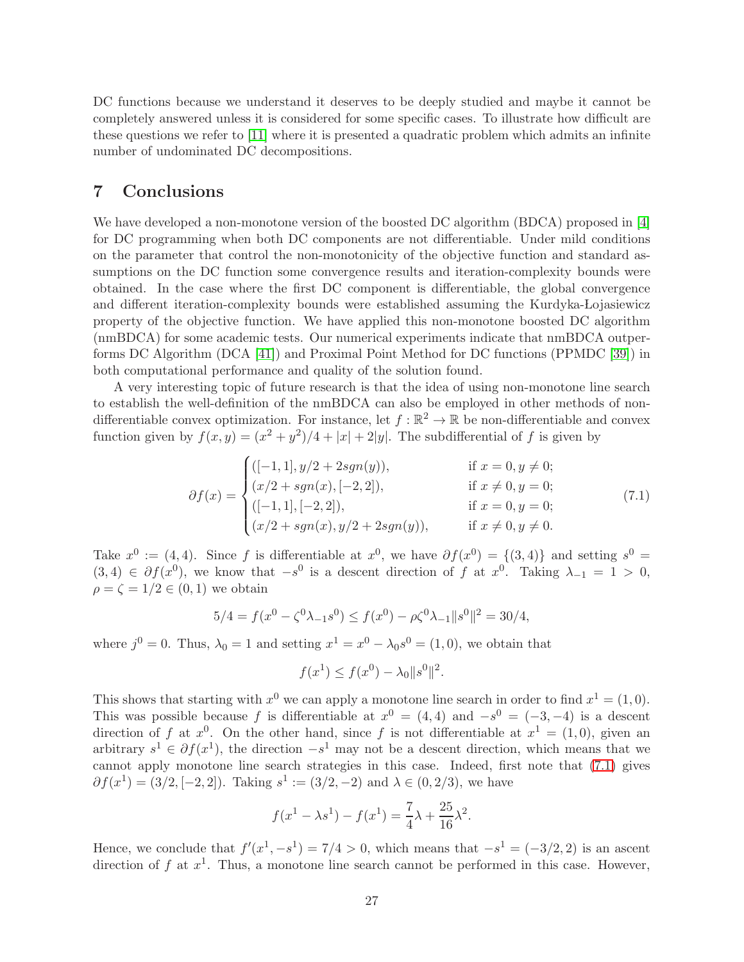DC functions because we understand it deserves to be deeply studied and maybe it cannot be completely answered unless it is considered for some specific cases. To illustrate how difficult are these questions we refer to [\[11\]](#page-28-12) where it is presented a quadratic problem which admits an infinite number of undominated DC decompositions.

# 7 Conclusions

We have developed a non-monotone version of the boosted DC algorithm (BDCA) proposed in [\[4\]](#page-28-2) for DC programming when both DC components are not differentiable. Under mild conditions on the parameter that control the non-monotonicity of the objective function and standard assumptions on the DC function some convergence results and iteration-complexity bounds were obtained. In the case where the first DC component is differentiable, the global convergence and different iteration-complexity bounds were established assuming the Kurdyka-Lojasiewicz property of the objective function. We have applied this non-monotone boosted DC algorithm (nmBDCA) for some academic tests. Our numerical experiments indicate that nmBDCA outperforms DC Algorithm (DCA [\[41\]](#page-30-5)) and Proximal Point Method for DC functions (PPMDC [\[39\]](#page-30-10)) in both computational performance and quality of the solution found.

A very interesting topic of future research is that the idea of using non-monotone line search to establish the well-definition of the nmBDCA can also be employed in other methods of nondifferentiable convex optimization. For instance, let  $f : \mathbb{R}^2 \to \mathbb{R}$  be non-differentiable and convex function given by  $f(x,y) = (x^2 + y^2)/4 + |x| + 2|y|$ . The subdifferential of f is given by

$$
\partial f(x) = \begin{cases}\n([-1, 1], y/2 + 2sgn(y)), & \text{if } x = 0, y \neq 0; \\
(x/2 + sgn(x), [-2, 2]), & \text{if } x \neq 0, y = 0; \\
([-1, 1], [-2, 2]), & \text{if } x = 0, y = 0; \\
(x/2 + sgn(x), y/2 + 2sgn(y)), & \text{if } x \neq 0, y \neq 0.\n\end{cases}
$$
\n(7.1)

Take  $x^0 := (4, 4)$ . Since f is differentiable at  $x^0$ , we have  $\partial f(x^0) = \{(3, 4)\}\$ and setting  $s^0 =$  $(3,4) \in \partial f(x^0)$ , we know that  $-s^0$  is a descent direction of f at  $x^0$ . Taking  $\lambda_{-1} = 1 > 0$ ,  $\rho = \zeta = 1/2 \in (0,1)$  we obtain

$$
5/4 = f(x^{0} - \zeta^{0}\lambda_{-1}s^{0}) \le f(x^{0}) - \rho\zeta^{0}\lambda_{-1}||s^{0}||^{2} = 30/4,
$$

where  $j^0 = 0$ . Thus,  $\lambda_0 = 1$  and setting  $x^1 = x^0 - \lambda_0 s^0 = (1, 0)$ , we obtain that

<span id="page-26-0"></span>
$$
f(x^1) \le f(x^0) - \lambda_0 \|s^0\|^2.
$$

This shows that starting with  $x^0$  we can apply a monotone line search in order to find  $x^1 = (1, 0)$ . This was possible because f is differentiable at  $x^0 = (4, 4)$  and  $-s^0 = (-3, -4)$  is a descent direction of f at  $x^0$ . On the other hand, since f is not differentiable at  $x^1 = (1,0)$ , given an arbitrary  $s^1 \in \partial f(x^1)$ , the direction  $-s^1$  may not be a descent direction, which means that we cannot apply monotone line search strategies in this case. Indeed, first note that [\(7.1\)](#page-26-0) gives  $\partial f(x^1) = (3/2, [-2, 2])$ . Taking  $s^1 := (3/2, -2)$  and  $\lambda \in (0, 2/3)$ , we have

$$
f(x^{1} - \lambda s^{1}) - f(x^{1}) = \frac{7}{4}\lambda + \frac{25}{16}\lambda^{2}.
$$

Hence, we conclude that  $f'(x^1, -s^1) = 7/4 > 0$ , which means that  $-s^1 = (-3/2, 2)$  is an ascent direction of f at  $x^1$ . Thus, a monotone line search cannot be performed in this case. However,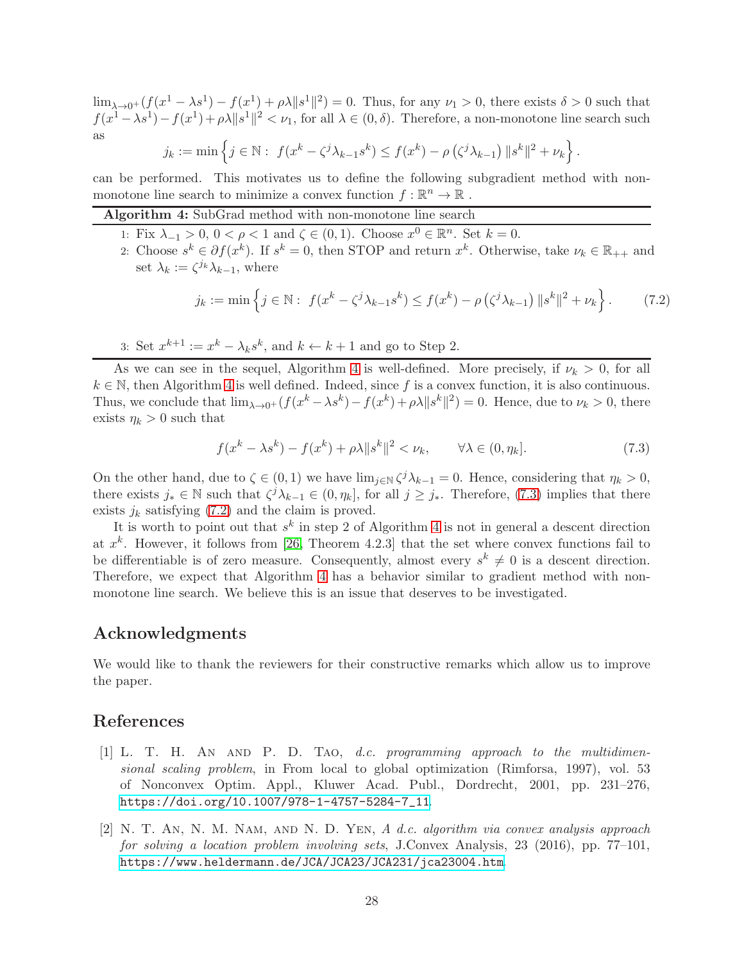$\lim_{\lambda\to 0^+} (f(x^1-\lambda s^1)-f(x^1)+\rho\lambda\|s^1\|^2)=0.$  Thus, for any  $\nu_1>0$ , there exists  $\delta>0$  such that  $f(x^1 - \lambda s^1) - f(x^1) + \rho \lambda \|s^1\|^2 < \nu_1$ , for all  $\lambda \in (0, \delta)$ . Therefore, a non-monotone line search such as

$$
j_k := \min \left\{ j \in \mathbb{N} : f(x^k - \zeta^j \lambda_{k-1} s^k) \le f(x^k) - \rho \left( \zeta^j \lambda_{k-1} \right) \| s^k \|^2 + \nu_k \right\}.
$$

can be performed. This motivates us to define the following subgradient method with nonmonotone line search to minimize a convex function  $f : \mathbb{R}^n \to \mathbb{R}$ .

### <span id="page-27-2"></span>Algorithm 4: SubGrad method with non-monotone line search

- 1: Fix  $\lambda_{-1} > 0$ ,  $0 < \rho < 1$  and  $\zeta \in (0,1)$ . Choose  $x^0 \in \mathbb{R}^n$ . Set  $k = 0$ .
- 2: Choose  $s^k \in \partial f(x^k)$ . If  $s^k = 0$ , then STOP and return  $x^k$ . Otherwise, take  $\nu_k \in \mathbb{R}_{++}$  and set  $\lambda_k := \zeta^{j_k} \lambda_{k-1}$ , where

<span id="page-27-4"></span>
$$
j_k := \min \left\{ j \in \mathbb{N} : f(x^k - \zeta^j \lambda_{k-1} s^k) \le f(x^k) - \rho \left( \zeta^j \lambda_{k-1} \right) \| s^k \|^2 + \nu_k \right\}.
$$
 (7.2)

3: Set  $x^{k+1} := x^k - \lambda_k s^k$ , and  $k \leftarrow k+1$  and go to Step 2.

As we can see in the sequel, Algorithm [4](#page-27-2) is well-defined. More precisely, if  $\nu_k > 0$ , for all  $k \in \mathbb{N}$ , then Algorithm [4](#page-27-2) is well defined. Indeed, since f is a convex function, it is also continuous. Thus, we conclude that  $\lim_{\lambda\to 0^+} (f(x^k - \lambda s^k) - f(x^k) + \rho \lambda \|s^k\|^2) = 0$ . Hence, due to  $\nu_k > 0$ , there exists  $\eta_k > 0$  such that

<span id="page-27-3"></span>
$$
f(x^k - \lambda s^k) - f(x^k) + \rho \lambda \|s^k\|^2 < \nu_k, \qquad \forall \lambda \in (0, \eta_k]. \tag{7.3}
$$

On the other hand, due to  $\zeta \in (0,1)$  we have  $\lim_{j \in \mathbb{N}} \zeta^j \lambda_{k-1} = 0$ . Hence, considering that  $\eta_k > 0$ , there exists  $j_* \in \mathbb{N}$  such that  $\zeta^j \lambda_{k-1} \in (0, \eta_k]$ , for all  $j \geq j_*$ . Therefore, [\(7.3\)](#page-27-3) implies that there exists  $j_k$  satisfying [\(7.2\)](#page-27-4) and the claim is proved.

It is worth to point out that  $s^k$  in step 2 of Algorithm [4](#page-27-2) is not in general a descent direction at  $x^k$ . However, it follows from [\[26,](#page-29-10) Theorem 4.2.3] that the set where convex functions fail to be differentiable is of zero measure. Consequently, almost every  $s^k \neq 0$  is a descent direction. Therefore, we expect that Algorithm [4](#page-27-2) has a behavior similar to gradient method with nonmonotone line search. We believe this is an issue that deserves to be investigated.

### Acknowledgments

We would like to thank the reviewers for their constructive remarks which allow us to improve the paper.

# <span id="page-27-1"></span>References

- [1] L. T. H. An and P. D. Tao, d.c. programming approach to the multidimensional scaling problem, in From local to global optimization (Rimforsa, 1997), vol. 53 of Nonconvex Optim. Appl., Kluwer Acad. Publ., Dordrecht, 2001, pp. 231–276, [https://doi.org/10.1007/978-1-4757-5284-7\\_11](https://doi.org/10.1007/978-1-4757-5284-7_11).
- <span id="page-27-0"></span>[2] N. T. An, N. M. Nam, and N. D. Yen, A d.c. algorithm via convex analysis approach for solving a location problem involving sets, J.Convex Analysis, 23 (2016), pp. 77–101, <https://www.heldermann.de/JCA/JCA23/JCA231/jca23004.htm>.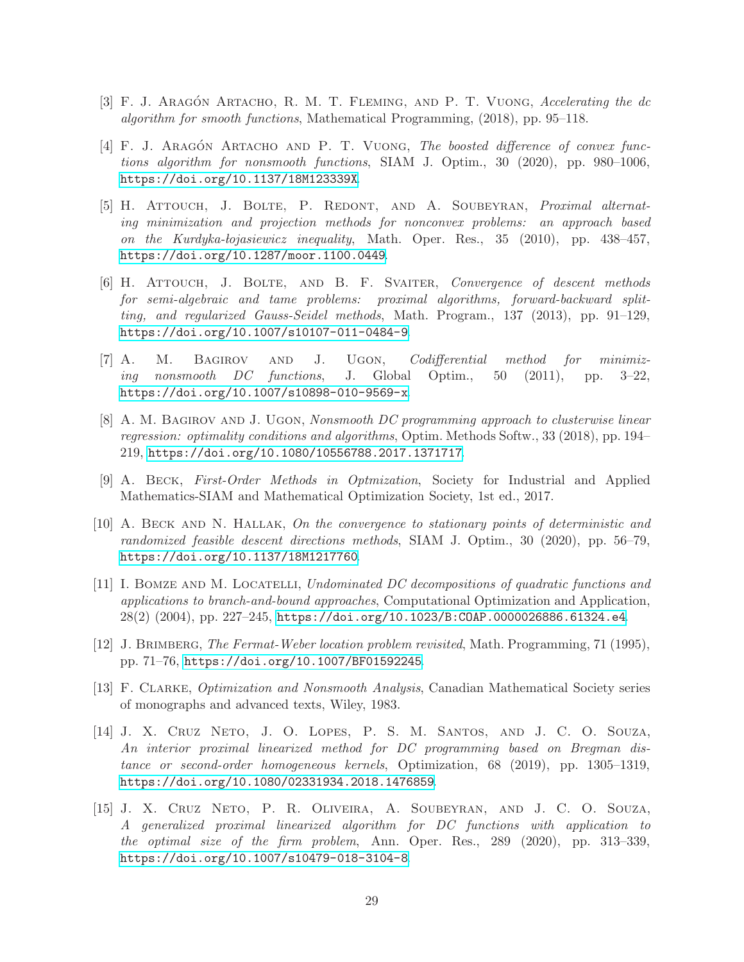- <span id="page-28-7"></span><span id="page-28-2"></span>[3] F. J. ARAGÓN ARTACHO, R. M. T. FLEMING, AND P. T. VUONG, Accelerating the dc algorithm for smooth functions, Mathematical Programming, (2018), pp. 95–118.
- $[4]$  F. J. ARAGÓN ARTACHO AND P. T. VUONG, The boosted difference of convex functions algorithm for nonsmooth functions, SIAM J. Optim., 30 (2020), pp. 980–1006, <https://doi.org/10.1137/18M123339X>.
- <span id="page-28-10"></span>[5] H. Attouch, J. Bolte, P. Redont, and A. Soubeyran, Proximal alternating minimization and projection methods for nonconvex problems: an approach based on the Kurdyka-lojasiewicz inequality, Math. Oper. Res., 35 (2010), pp. 438–457, <https://doi.org/10.1287/moor.1100.0449>.
- <span id="page-28-11"></span>[6] H. Attouch, J. Bolte, and B. F. Svaiter, Convergence of descent methods for semi-algebraic and tame problems: proximal algorithms, forward-backward splitting, and regularized Gauss-Seidel methods, Math. Program., 137 (2013), pp. 91–129, <https://doi.org/10.1007/s10107-011-0484-9>.
- <span id="page-28-6"></span>[7] A. M. BAGIROV AND J. UGON, *Codifferential method for minimiz*ing nonsmooth DC functions, J. Global Optim., 50 (2011), pp. 3–22, <https://doi.org/10.1007/s10898-010-9569-x>.
- <span id="page-28-3"></span>[8] A. M. BAGIROV AND J. UGON, Nonsmooth DC programming approach to clusterwise linear regression: optimality conditions and algorithms, Optim. Methods Softw., 33 (2018), pp. 194– 219, <https://doi.org/10.1080/10556788.2017.1371717>.
- <span id="page-28-8"></span><span id="page-28-4"></span>[9] A. Beck, First-Order Methods in Optmization, Society for Industrial and Applied Mathematics-SIAM and Mathematical Optimization Society, 1st ed., 2017.
- [10] A. Beck and N. Hallak, On the convergence to stationary points of deterministic and randomized feasible descent directions methods, SIAM J. Optim., 30 (2020), pp. 56–79, <https://doi.org/10.1137/18M1217760>.
- <span id="page-28-12"></span>[11] I. Bomze and M. Locatelli, Undominated DC decompositions of quadratic functions and applications to branch-and-bound approaches, Computational Optimization and Application, 28(2) (2004), pp. 227–245, <https://doi.org/10.1023/B:COAP.0000026886.61324.e4>.
- <span id="page-28-0"></span>[12] J. Brimberg, The Fermat-Weber location problem revisited, Math. Programming, 71 (1995), pp. 71–76, <https://doi.org/10.1007/BF01592245>.
- <span id="page-28-9"></span>[13] F. Clarke, Optimization and Nonsmooth Analysis, Canadian Mathematical Society series of monographs and advanced texts, Wiley, 1983.
- <span id="page-28-1"></span>[14] J. X. Cruz Neto, J. O. Lopes, P. S. M. Santos, and J. C. O. Souza, An interior proximal linearized method for DC programming based on Bregman distance or second-order homogeneous kernels, Optimization, 68 (2019), pp. 1305–1319, <https://doi.org/10.1080/02331934.2018.1476859>.
- <span id="page-28-5"></span>[15] J. X. Cruz Neto, P. R. Oliveira, A. Soubeyran, and J. C. O. Souza, A generalized proximal linearized algorithm for DC functions with application to the optimal size of the firm problem, Ann. Oper. Res., 289 (2020), pp. 313–339, <https://doi.org/10.1007/s10479-018-3104-8>.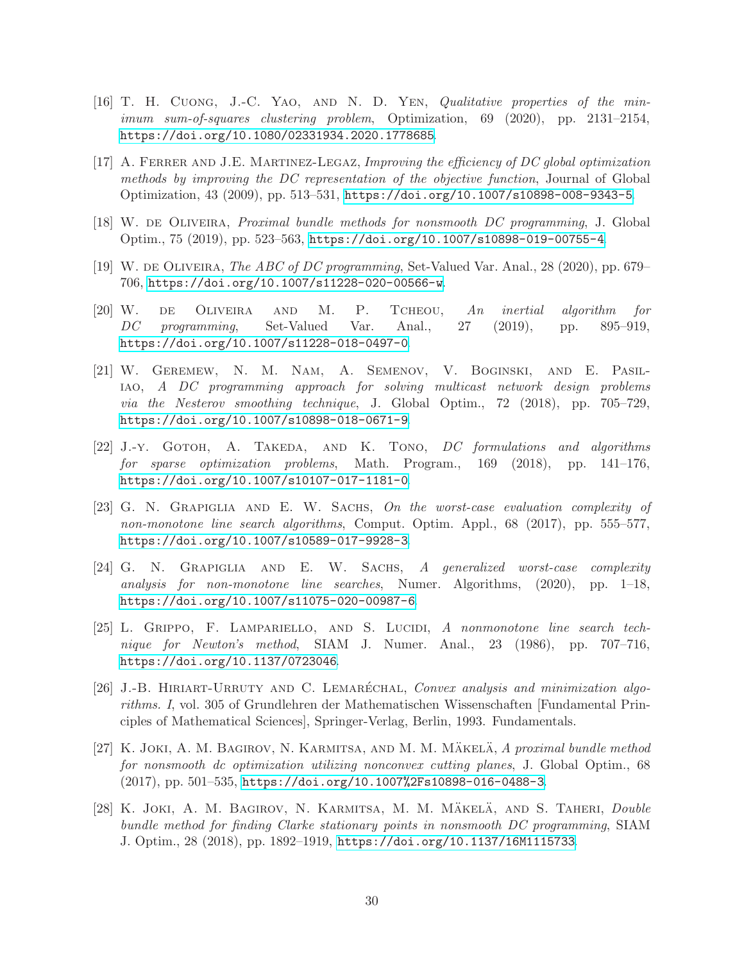- <span id="page-29-1"></span>[16] T. H. Cuong, J.-C. Yao, and N. D. Yen, Qualitative properties of the minimum sum-of-squares clustering problem, Optimization, 69 (2020), pp. 2131–2154, <https://doi.org/10.1080/02331934.2020.1778685>.
- <span id="page-29-12"></span>[17] A. FERRER AND J.E. MARTINEZ-LEGAZ, Improving the efficiency of DC global optimization methods by improving the DC representation of the objective function, Journal of Global Optimization, 43 (2009), pp. 513–531, <https://doi.org/10.1007/s10898-008-9343-5>.
- <span id="page-29-4"></span><span id="page-29-3"></span>[18] W. DE OLIVEIRA, *Proximal bundle methods for nonsmooth DC programming*, J. Global Optim., 75 (2019), pp. 523–563, <https://doi.org/10.1007/s10898-019-00755-4>.
- <span id="page-29-6"></span>[19] W. de Oliveira, The ABC of DC programming, Set-Valued Var. Anal., 28 (2020), pp. 679– 706, <https://doi.org/10.1007/s11228-020-00566-w>.
- [20] W. de Oliveira and M. P. Tcheou, An inertial algorithm for DC programming, Set-Valued Var. Anal., 27 (2019), pp. 895–919, <https://doi.org/10.1007/s11228-018-0497-0>.
- <span id="page-29-2"></span>[21] W. Geremew, N. M. Nam, A. Semenov, V. Boginski, and E. Pasiliao, A DC programming approach for solving multicast network design problems via the Nesterov smoothing technique, J. Global Optim., 72 (2018), pp. 705–729, <https://doi.org/10.1007/s10898-018-0671-9>.
- <span id="page-29-0"></span>[22] J.-Y. GOTOH, A. TAKEDA, AND K. TONO, DC formulations and algorithms for sparse optimization problems, Math. Program., 169 (2018), pp. 141–176, <https://doi.org/10.1007/s10107-017-1181-0>.
- <span id="page-29-8"></span>[23] G. N. Grapiglia and E. W. Sachs, On the worst-case evaluation complexity of non-monotone line search algorithms, Comput. Optim. Appl., 68 (2017), pp. 555–577, <https://doi.org/10.1007/s10589-017-9928-3>.
- <span id="page-29-9"></span>[24] G. N. Grapiglia and E. W. Sachs, A generalized worst-case complexity analysis for non-monotone line searches, Numer. Algorithms, (2020), pp. 1–18, <https://doi.org/10.1007/s11075-020-00987-6>.
- <span id="page-29-7"></span>[25] L. GRIPPO, F. LAMPARIELLO, AND S. LUCIDI, A nonmonotone line search technique for Newton's method, SIAM J. Numer. Anal., 23 (1986), pp. 707–716, <https://doi.org/10.1137/0723046>.
- <span id="page-29-10"></span>[26] J.-B. HIRIART-URRUTY AND C. LEMARÉCHAL, Convex analysis and minimization algorithms. I, vol. 305 of Grundlehren der Mathematischen Wissenschaften [Fundamental Principles of Mathematical Sciences], Springer-Verlag, Berlin, 1993. Fundamentals.
- <span id="page-29-11"></span>[27] K. JOKI, A. M. BAGIROV, N. KARMITSA, AND M. M. MÄKELÄ, A proximal bundle method for nonsmooth dc optimization utilizing nonconvex cutting planes, J. Global Optim., 68 (2017), pp. 501–535, <https://doi.org/10.1007%2Fs10898-016-0488-3>.
- <span id="page-29-5"></span>[28] K. JOKI, A. M. BAGIROV, N. KARMITSA, M. M. MÄKELÄ, AND S. TAHERI, Double bundle method for finding Clarke stationary points in nonsmooth DC programming, SIAM J. Optim., 28 (2018), pp. 1892–1919, <https://doi.org/10.1137/16M1115733>.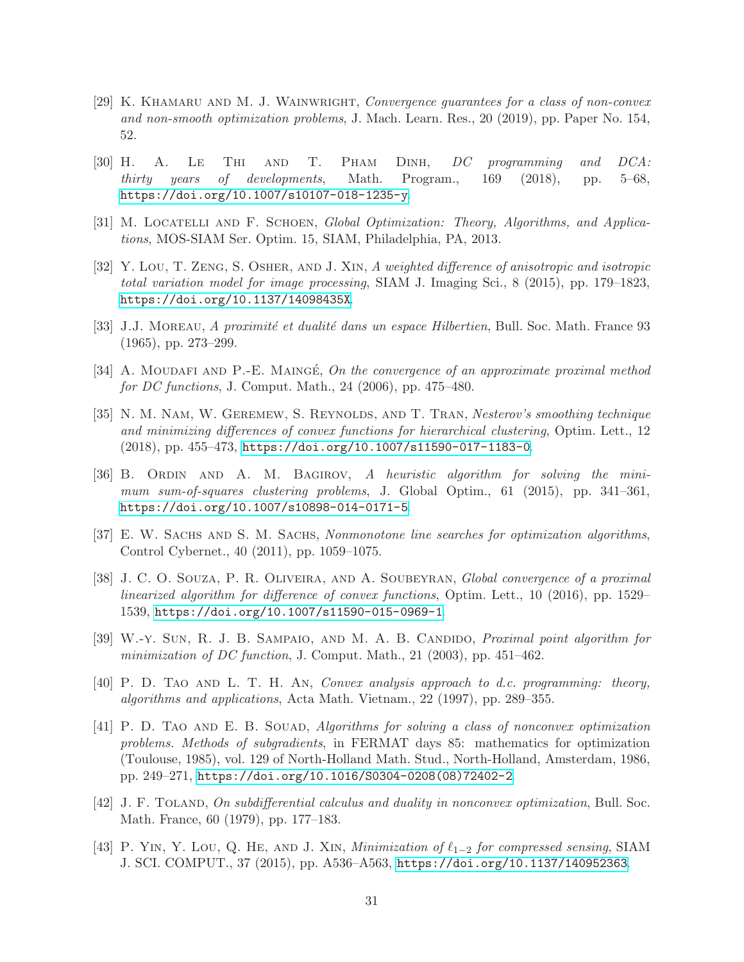- <span id="page-30-7"></span>[29] K. KHAMARU AND M. J. WAINWRIGHT, Convergence guarantees for a class of non-convex and non-smooth optimization problems, J. Mach. Learn. Res., 20 (2019), pp. Paper No. 154, 52.
- <span id="page-30-6"></span>[30] H. A. Le Thi and T. Pham Dinh, DC programming and DCA: thirty years of developments, Math. Program., 169 (2018), pp. 5–68, <https://doi.org/10.1007/s10107-018-1235-y>.
- <span id="page-30-14"></span><span id="page-30-0"></span>[31] M. LOCATELLI AND F. SCHOEN, Global Optimization: Theory, Algorithms, and Applications, MOS-SIAM Ser. Optim. 15, SIAM, Philadelphia, PA, 2013.
- [32] Y. Lou, T. Zeng, S. Osher, and J. Xin, A weighted difference of anisotropic and isotropic total variation model for image processing, SIAM J. Imaging Sci., 8 (2015), pp. 179–1823, <https://doi.org/10.1137/14098435X>.
- <span id="page-30-13"></span><span id="page-30-8"></span>[33] J.J. MOREAU, A proximité et dualité dans un espace Hilbertien, Bull. Soc. Math. France 93 (1965), pp. 273–299.
- <span id="page-30-3"></span>[34] A. MOUDAFI AND P.-E. MAINGÉ, On the convergence of an approximate proximal method for DC functions, J. Comput. Math., 24 (2006), pp. 475–480.
- [35] N. M. NAM, W. GEREMEW, S. REYNOLDS, AND T. TRAN, Nesterov's smoothing technique and minimizing differences of convex functions for hierarchical clustering, Optim. Lett., 12 (2018), pp. 455–473, <https://doi.org/10.1007/s11590-017-1183-0>.
- <span id="page-30-2"></span>[36] B. ORDIN AND A. M. BAGIROV, A heuristic algorithm for solving the minimum sum-of-squares clustering problems, J. Global Optim., 61 (2015), pp. 341–361, <https://doi.org/10.1007/s10898-014-0171-5>.
- <span id="page-30-11"></span><span id="page-30-9"></span>[37] E. W. SACHS AND S. M. SACHS, Nonmonotone line searches for optimization algorithms, Control Cybernet., 40 (2011), pp. 1059–1075.
- [38] J. C. O. SOUZA, P. R. OLIVEIRA, AND A. SOUBEYRAN, *Global convergence of a proximal* linearized algorithm for difference of convex functions, Optim. Lett., 10 (2016), pp. 1529– 1539, <https://doi.org/10.1007/s11590-015-0969-1>.
- <span id="page-30-10"></span><span id="page-30-4"></span>[39] W.-y. Sun, R. J. B. SAMPAIO, AND M. A. B. CANDIDO, *Proximal point algorithm for* minimization of DC function, J. Comput. Math., 21 (2003), pp. 451–462.
- $[40]$  P. D. TAO AND L. T. H. AN, Convex analysis approach to d.c. programming: theory, algorithms and applications, Acta Math. Vietnam., 22 (1997), pp. 289–355.
- <span id="page-30-5"></span>[41] P. D. TAO AND E. B. SOUAD, Algorithms for solving a class of nonconvex optimization problems. Methods of subgradients, in FERMAT days 85: mathematics for optimization (Toulouse, 1985), vol. 129 of North-Holland Math. Stud., North-Holland, Amsterdam, 1986, pp. 249–271, [https://doi.org/10.1016/S0304-0208\(08\)72402-2](https://doi.org/10.1016/S0304-0208(08)72402-2).
- <span id="page-30-12"></span>[42] J. F. TOLAND, On subdifferential calculus and duality in nonconvex optimization, Bull. Soc. Math. France, 60 (1979), pp. 177–183.
- <span id="page-30-1"></span>[43] P. YIN, Y. LOU, Q. HE, AND J. XIN, *Minimization of*  $\ell_{1-2}$  for compressed sensing, SIAM J. SCI. COMPUT., 37 (2015), pp. A536–A563, <https://doi.org/10.1137/140952363>.